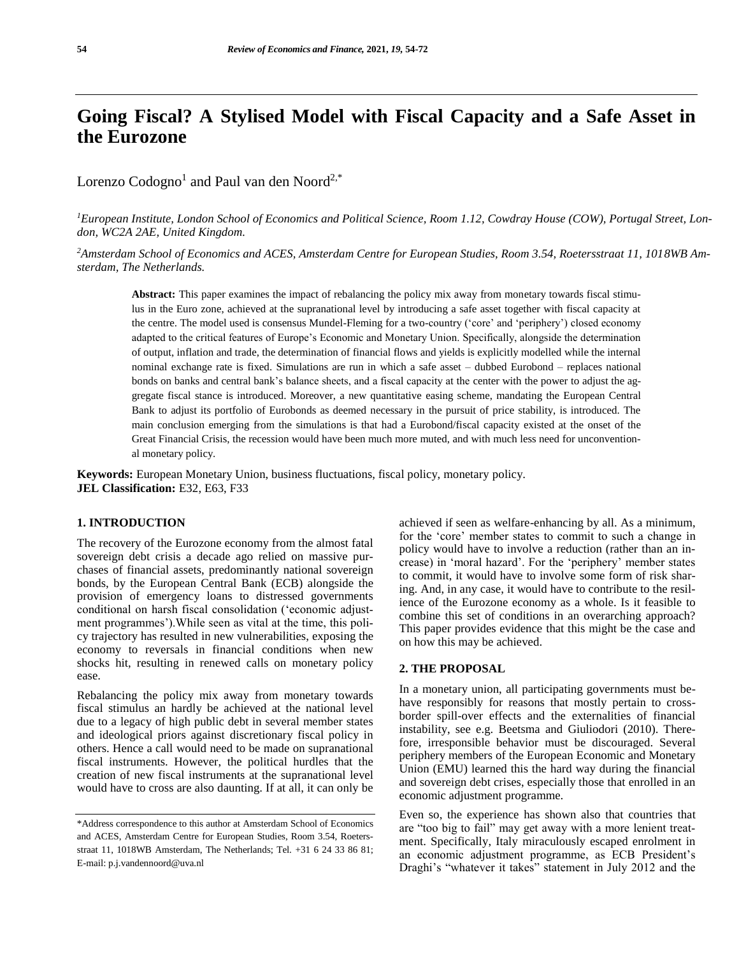# **Going Fiscal? A Stylised Model with Fiscal Capacity and a Safe Asset in the Eurozone**

Lorenzo Codogno<sup>1</sup> and Paul van den Noord<sup>2,\*</sup>

*1European Institute, London School of Economics and Political Science, Room 1.12, Cowdray House (COW), Portugal Street, London, WC2A 2AE, United Kingdom.* 

*2Amsterdam School of Economics and ACES, Amsterdam Centre for European Studies, Room 3.54, Roetersstraat 11, 1018WB Amsterdam, The Netherlands.*

**Abstract:** This paper examines the impact of rebalancing the policy mix away from monetary towards fiscal stimulus in the Euro zone, achieved at the supranational level by introducing a safe asset together with fiscal capacity at the centre. The model used is consensus Mundel-Fleming for a two-country ('core' and 'periphery') closed economy adapted to the critical features of Europe's Economic and Monetary Union. Specifically, alongside the determination of output, inflation and trade, the determination of financial flows and yields is explicitly modelled while the internal nominal exchange rate is fixed. Simulations are run in which a safe asset – dubbed Eurobond – replaces national bonds on banks and central bank's balance sheets, and a fiscal capacity at the center with the power to adjust the aggregate fiscal stance is introduced. Moreover, a new quantitative easing scheme, mandating the European Central Bank to adjust its portfolio of Eurobonds as deemed necessary in the pursuit of price stability, is introduced. The main conclusion emerging from the simulations is that had a Eurobond/fiscal capacity existed at the onset of the Great Financial Crisis, the recession would have been much more muted, and with much less need for unconventional monetary policy.

**Keywords:** European Monetary Union, business fluctuations, fiscal policy, monetary policy. **JEL Classification:** E32, E63, F33

#### **1. INTRODUCTION**

The recovery of the Eurozone economy from the almost fatal sovereign debt crisis a decade ago relied on massive purchases of financial assets, predominantly national sovereign bonds, by the European Central Bank (ECB) alongside the provision of emergency loans to distressed governments conditional on harsh fiscal consolidation ('economic adjustment programmes').While seen as vital at the time, this policy trajectory has resulted in new vulnerabilities, exposing the economy to reversals in financial conditions when new shocks hit, resulting in renewed calls on monetary policy ease.

Rebalancing the policy mix away from monetary towards fiscal stimulus an hardly be achieved at the national level due to a legacy of high public debt in several member states and ideological priors against discretionary fiscal policy in others. Hence a call would need to be made on supranational fiscal instruments. However, the political hurdles that the creation of new fiscal instruments at the supranational level would have to cross are also daunting. If at all, it can only be

achieved if seen as welfare-enhancing by all. As a minimum, for the 'core' member states to commit to such a change in policy would have to involve a reduction (rather than an increase) in 'moral hazard'. For the 'periphery' member states to commit, it would have to involve some form of risk sharing. And, in any case, it would have to contribute to the resilience of the Eurozone economy as a whole. Is it feasible to combine this set of conditions in an overarching approach? This paper provides evidence that this might be the case and on how this may be achieved.

#### **2. THE PROPOSAL**

In a monetary union, all participating governments must behave responsibly for reasons that mostly pertain to crossborder spill-over effects and the externalities of financial instability, see e.g. Beetsma and Giuliodori (2010). Therefore, irresponsible behavior must be discouraged. Several periphery members of the European Economic and Monetary Union (EMU) learned this the hard way during the financial and sovereign debt crises, especially those that enrolled in an economic adjustment programme.

Even so, the experience has shown also that countries that are "too big to fail" may get away with a more lenient treatment. Specifically, Italy miraculously escaped enrolment in an economic adjustment programme, as ECB President's Draghi's "whatever it takes" statement in July 2012 and the

<sup>\*</sup>Address correspondence to this author at Amsterdam School of Economics and ACES, Amsterdam Centre for European Studies, Room 3.54, Roetersstraat 11, 1018WB Amsterdam, The Netherlands; Tel. +31 6 24 33 86 81; E-mail: [p.j.vandennoord@uva.nl](mailto:p.j.vandennoord@uva.nl)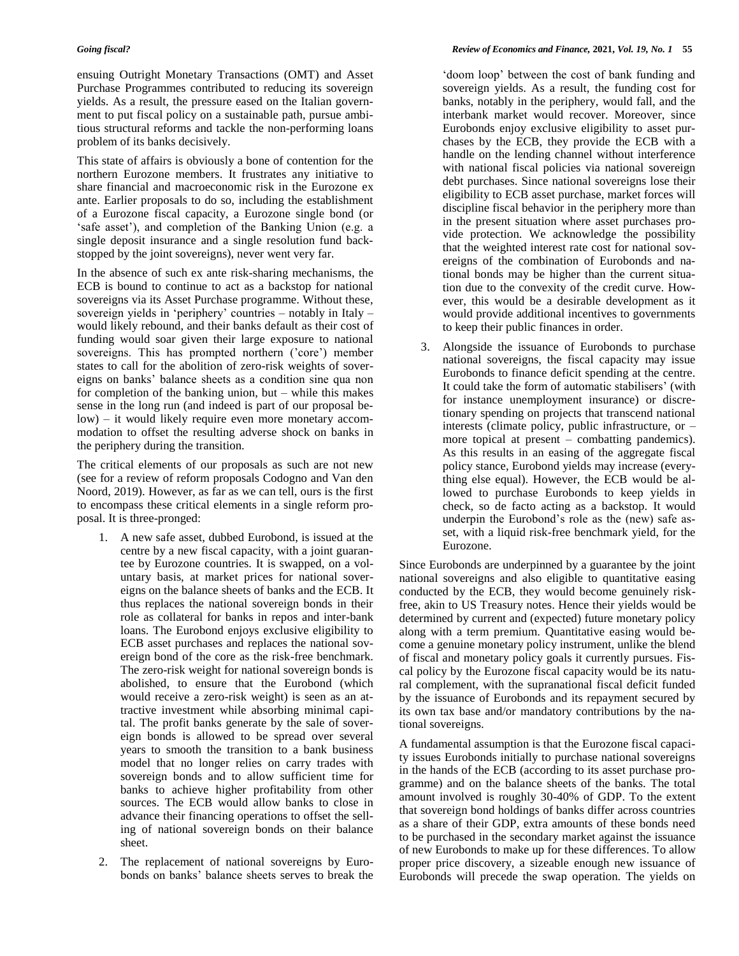ensuing Outright Monetary Transactions (OMT) and Asset Purchase Programmes contributed to reducing its sovereign yields. As a result, the pressure eased on the Italian government to put fiscal policy on a sustainable path, pursue ambitious structural reforms and tackle the non-performing loans problem of its banks decisively.

This state of affairs is obviously a bone of contention for the northern Eurozone members. It frustrates any initiative to share financial and macroeconomic risk in the Eurozone ex ante. Earlier proposals to do so, including the establishment of a Eurozone fiscal capacity, a Eurozone single bond (or 'safe asset'), and completion of the Banking Union (e.g. a single deposit insurance and a single resolution fund backstopped by the joint sovereigns), never went very far.

In the absence of such ex ante risk-sharing mechanisms, the ECB is bound to continue to act as a backstop for national sovereigns via its Asset Purchase programme. Without these, sovereign yields in 'periphery' countries – notably in Italy – would likely rebound, and their banks default as their cost of funding would soar given their large exposure to national sovereigns. This has prompted northern ('core') member states to call for the abolition of zero-risk weights of sovereigns on banks' balance sheets as a condition sine qua non for completion of the banking union, but – while this makes sense in the long run (and indeed is part of our proposal below) – it would likely require even more monetary accommodation to offset the resulting adverse shock on banks in the periphery during the transition.

The critical elements of our proposals as such are not new (see for a review of reform proposals Codogno and Van den Noord, 2019). However, as far as we can tell, ours is the first to encompass these critical elements in a single reform proposal. It is three-pronged:

- 1. A new safe asset, dubbed Eurobond, is issued at the centre by a new fiscal capacity, with a joint guarantee by Eurozone countries. It is swapped, on a voluntary basis, at market prices for national sovereigns on the balance sheets of banks and the ECB. It thus replaces the national sovereign bonds in their role as collateral for banks in repos and inter-bank loans. The Eurobond enjoys exclusive eligibility to ECB asset purchases and replaces the national sovereign bond of the core as the risk-free benchmark. The zero-risk weight for national sovereign bonds is abolished, to ensure that the Eurobond (which would receive a zero-risk weight) is seen as an attractive investment while absorbing minimal capital. The profit banks generate by the sale of sovereign bonds is allowed to be spread over several years to smooth the transition to a bank business model that no longer relies on carry trades with sovereign bonds and to allow sufficient time for banks to achieve higher profitability from other sources. The ECB would allow banks to close in advance their financing operations to offset the selling of national sovereign bonds on their balance sheet.
- 2. The replacement of national sovereigns by Eurobonds on banks' balance sheets serves to break the

'doom loop' between the cost of bank funding and sovereign yields. As a result, the funding cost for banks, notably in the periphery, would fall, and the interbank market would recover. Moreover, since Eurobonds enjoy exclusive eligibility to asset purchases by the ECB, they provide the ECB with a handle on the lending channel without interference with national fiscal policies via national sovereign debt purchases. Since national sovereigns lose their eligibility to ECB asset purchase, market forces will discipline fiscal behavior in the periphery more than in the present situation where asset purchases provide protection. We acknowledge the possibility that the weighted interest rate cost for national sovereigns of the combination of Eurobonds and national bonds may be higher than the current situation due to the convexity of the credit curve. However, this would be a desirable development as it would provide additional incentives to governments to keep their public finances in order.

Alongside the issuance of Eurobonds to purchase national sovereigns, the fiscal capacity may issue Eurobonds to finance deficit spending at the centre. It could take the form of automatic stabilisers' (with for instance unemployment insurance) or discretionary spending on projects that transcend national interests (climate policy, public infrastructure, or – more topical at present – combatting pandemics). As this results in an easing of the aggregate fiscal policy stance, Eurobond yields may increase (everything else equal). However, the ECB would be allowed to purchase Eurobonds to keep yields in check, so de facto acting as a backstop. It would underpin the Eurobond's role as the (new) safe asset, with a liquid risk-free benchmark yield, for the Eurozone.

Since Eurobonds are underpinned by a guarantee by the joint national sovereigns and also eligible to quantitative easing conducted by the ECB, they would become genuinely riskfree, akin to US Treasury notes. Hence their yields would be determined by current and (expected) future monetary policy along with a term premium. Quantitative easing would become a genuine monetary policy instrument, unlike the blend of fiscal and monetary policy goals it currently pursues. Fiscal policy by the Eurozone fiscal capacity would be its natural complement, with the supranational fiscal deficit funded by the issuance of Eurobonds and its repayment secured by its own tax base and/or mandatory contributions by the national sovereigns.

A fundamental assumption is that the Eurozone fiscal capacity issues Eurobonds initially to purchase national sovereigns in the hands of the ECB (according to its asset purchase programme) and on the balance sheets of the banks. The total amount involved is roughly 30-40% of GDP. To the extent that sovereign bond holdings of banks differ across countries as a share of their GDP, extra amounts of these bonds need to be purchased in the secondary market against the issuance of new Eurobonds to make up for these differences. To allow proper price discovery, a sizeable enough new issuance of Eurobonds will precede the swap operation. The yields on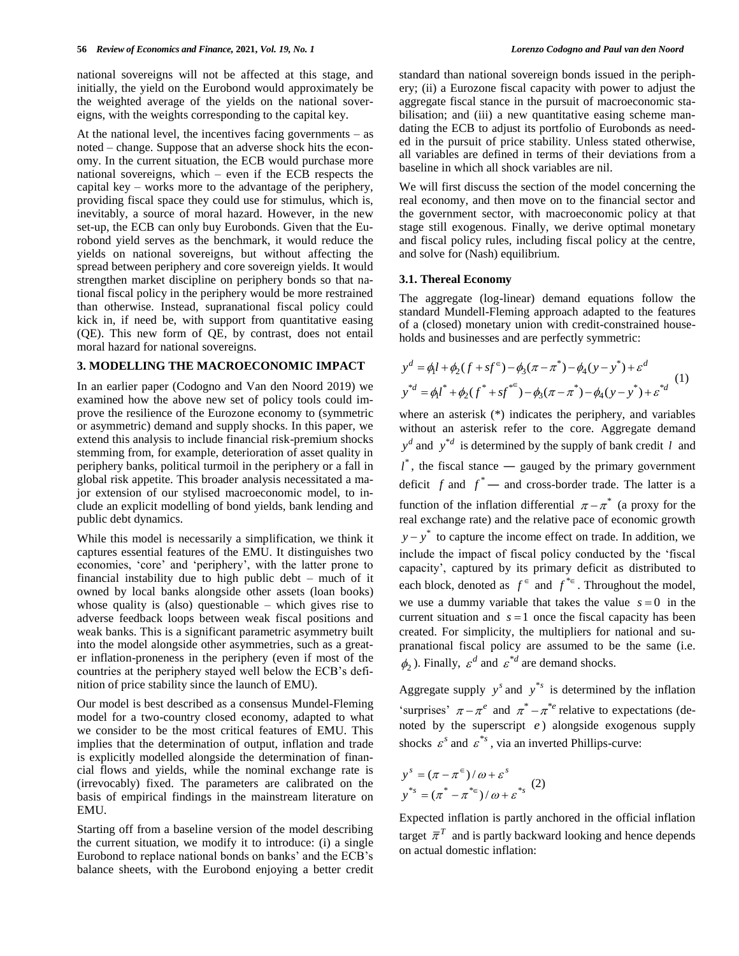national sovereigns will not be affected at this stage, and initially, the yield on the Eurobond would approximately be the weighted average of the yields on the national sovereigns, with the weights corresponding to the capital key.

At the national level, the incentives facing governments  $-$  as noted – change. Suppose that an adverse shock hits the economy. In the current situation, the ECB would purchase more national sovereigns, which – even if the ECB respects the capital key – works more to the advantage of the periphery, providing fiscal space they could use for stimulus, which is, inevitably, a source of moral hazard. However, in the new set-up, the ECB can only buy Eurobonds. Given that the Eurobond yield serves as the benchmark, it would reduce the yields on national sovereigns, but without affecting the spread between periphery and core sovereign yields. It would strengthen market discipline on periphery bonds so that national fiscal policy in the periphery would be more restrained than otherwise. Instead, supranational fiscal policy could kick in, if need be, with support from quantitative easing (QE). This new form of QE, by contrast, does not entail moral hazard for national sovereigns.

#### **3. MODELLING THE MACROECONOMIC IMPACT**

In an earlier paper (Codogno and Van den Noord 2019) we examined how the above new set of policy tools could improve the resilience of the Eurozone economy to (symmetric or asymmetric) demand and supply shocks. In this paper, we extend this analysis to include financial risk-premium shocks stemming from, for example, deterioration of asset quality in periphery banks, political turmoil in the periphery or a fall in global risk appetite. This broader analysis necessitated a major extension of our stylised macroeconomic model, to include an explicit modelling of bond yields, bank lending and public debt dynamics.

While this model is necessarily a simplification, we think it captures essential features of the EMU. It distinguishes two economies, 'core' and 'periphery', with the latter prone to financial instability due to high public debt – much of it owned by local banks alongside other assets (loan books) whose quality is (also) questionable – which gives rise to adverse feedback loops between weak fiscal positions and weak banks. This is a significant parametric asymmetry built into the model alongside other asymmetries, such as a greater inflation-proneness in the periphery (even if most of the countries at the periphery stayed well below the ECB's definition of price stability since the launch of EMU).

Our model is best described as a consensus Mundel-Fleming model for a two-country closed economy, adapted to what we consider to be the most critical features of EMU. This implies that the determination of output, inflation and trade is explicitly modelled alongside the determination of financial flows and yields, while the nominal exchange rate is (irrevocably) fixed. The parameters are calibrated on the basis of empirical findings in the mainstream literature on EMU.

Starting off from a baseline version of the model describing the current situation, we modify it to introduce: (i) a single Eurobond to replace national bonds on banks' and the ECB's balance sheets, with the Eurobond enjoying a better credit standard than national sovereign bonds issued in the periphery; (ii) a Eurozone fiscal capacity with power to adjust the aggregate fiscal stance in the pursuit of macroeconomic stabilisation; and (iii) a new quantitative easing scheme mandating the ECB to adjust its portfolio of Eurobonds as needed in the pursuit of price stability. Unless stated otherwise, all variables are defined in terms of their deviations from a baseline in which all shock variables are nil.

We will first discuss the section of the model concerning the real economy, and then move on to the financial sector and the government sector, with macroeconomic policy at that stage still exogenous. Finally, we derive optimal monetary and fiscal policy rules, including fiscal policy at the centre, and solve for (Nash) equilibrium.

#### **3.1. Thereal Economy**

The aggregate (log-linear) demand equations follow the standard Mundell-Fleming approach adapted to the features of a (closed) monetary union with credit-constrained households and businesses and are perfectly symmetric:

$$
y^{d} = \phi_{1}l + \phi_{2}(f + sf^{\epsilon}) - \phi_{3}(\pi - \pi^{*}) - \phi_{4}(y - y^{*}) + \varepsilon^{d}
$$
  

$$
y^{*d} = \phi_{1}l^{*} + \phi_{2}(f^{*} + sf^{* \epsilon}) - \phi_{3}(\pi - \pi^{*}) - \phi_{4}(y - y^{*}) + \varepsilon^{*d}
$$
 (1)

where an asterisk (\*) indicates the periphery, and variables without an asterisk refer to the core. Aggregate demand  $y^d$  and  $y^{d}$  is determined by the supply of bank credit l and  $l^*$ , the fiscal stance — gauged by the primary government deficit  $f$  and  $f^*$  — and cross-border trade. The latter is a function of the inflation differential  $\pi - \pi^*$  (a proxy for the real exchange rate) and the relative pace of economic growth  $y - y^*$  to capture the income effect on trade. In addition, we include the impact of fiscal policy conducted by the 'fiscal capacity', captured by its primary deficit as distributed to each block, denoted as  $f^{\epsilon}$  and  $f^{* \epsilon}$ . Throughout the model, we use a dummy variable that takes the value  $s = 0$  in the current situation and  $s = 1$  once the fiscal capacity has been created. For simplicity, the multipliers for national and supranational fiscal policy are assumed to be the same (i.e.  $\phi_2$ ). Finally,  $\varepsilon^d$  and  $\varepsilon^{*d}$  are demand shocks.

Aggregate supply  $y^s$  and  $y^{*s}$  is determined by the inflation 'surprises'  $\pi - \pi^e$  and  $\pi^* - \pi^{*e}$  relative to expectations (denoted by the superscript *e* ) alongside exogenous supply shocks  $\varepsilon^s$  and  $\varepsilon^{*_s}$ , via an inverted Phillips-curve:

$$
y^{s} = (\pi - \pi^{\epsilon})/\omega + \varepsilon^{s}
$$
  

$$
y^{*s} = (\pi^{*} - \pi^{*_{\epsilon}})/\omega + \varepsilon^{*_{s}} \tag{2}
$$

Expected inflation is partly anchored in the official inflation target  $\bar{\pi}^T$  and is partly backward looking and hence depends on actual domestic inflation: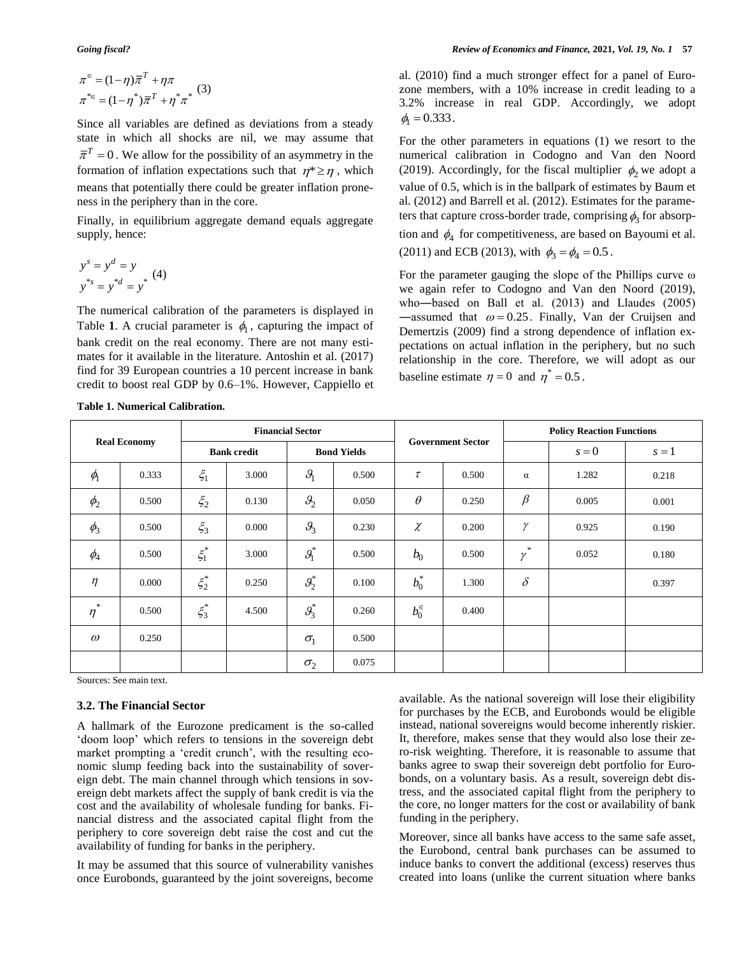$$
\pi^{\epsilon} = (1 - \eta)\overline{\pi}^{T} + \eta\pi
$$

$$
\pi^{*_{\epsilon}} = (1 - \eta^{*})\overline{\pi}^{T} + \eta^{*}\pi^{*}
$$
 (3)

Since all variables are defined as deviations from a steady state in which all shocks are nil, we may assume that  $\overline{\pi}^T = 0$ . We allow for the possibility of an asymmetry in the formation of inflation expectations such that  $\eta^* \geq \eta$ , which means that potentially there could be greater inflation proneness in the periphery than in the core.

Finally, in equilibrium aggregate demand equals aggregate supply, hence:

$$
ys = yd = y
$$
  

$$
y*s = y*d = y*
$$
 (4)

The numerical calibration of the parameters is displayed in Table 1. A crucial parameter is  $\phi_1$ , capturing the impact of bank credit on the real economy. There are not many estimates for it available in the literature. Antoshin et al. (2017) find for 39 European countries a 10 percent increase in bank credit to boost real GDP by 0.6–1%. However, Cappiello et

al. (2010) find a much stronger effect for a panel of Eurozone members, with a 10% increase in credit leading to a 3.2% increase in real GDP. Accordingly, we adopt  $\phi_1 = 0.333$ .

For the other parameters in equations (1) we resort to the numerical calibration in Codogno and Van den Noord (2019). Accordingly, for the fiscal multiplier  $\phi_2$  we adopt a value of 0.5, which is in the ballpark of estimates by Baum et al. (2012) and Barrell et al. (2012). Estimates for the parameters that capture cross-border trade, comprising  $\phi_3$  for absorption and  $\phi_4$  for competitiveness, are based on Bayoumi et al. (2011) and ECB (2013), with  $\phi_3 = \phi_4 = 0.5$ .

For the parameter gauging the slope of the Phillips curve ω we again refer to Codogno and Van den Noord (2019), who―based on Ball et al. (2013) and Llaudes (2005) —assumed that  $\omega = 0.25$ . Finally, Van der Cruijsen and Demertzis (2009) find a strong dependence of inflation expectations on actual inflation in the periphery, but no such relationship in the core. Therefore, we will adopt as our baseline estimate  $\eta = 0$  and  $\eta^* = 0.5$ .

|                     |                     | <b>Financial Sector</b> |       |                    |       |             | <b>Government Sector</b> |                    | <b>Policy Reaction Functions</b> |       |  |  |
|---------------------|---------------------|-------------------------|-------|--------------------|-------|-------------|--------------------------|--------------------|----------------------------------|-------|--|--|
|                     | <b>Real Economy</b> | <b>Bank credit</b>      |       | <b>Bond Yields</b> |       |             |                          |                    | $s = 0$                          | $s=1$ |  |  |
| $\phi$ <sub>1</sub> | 0.333               | $\xi_1$                 | 3.000 | $\mathcal{G}_1$    | 0.500 | $\tau$      | 0.500                    | $\alpha$           | 1.282                            | 0.218 |  |  |
| $\phi_2$            | 0.500               | $\xi_2$                 | 0.130 | $\mathcal{G}_2$    | 0.050 | $\theta$    | 0.250                    | $\beta$            | 0.005                            | 0.001 |  |  |
| $\phi_3$            | 0.500               | $\xi_3$                 | 0.000 | $\mathcal{G}_3$    | 0.230 | $\chi$      | 0.200                    | γ                  | 0.925                            | 0.190 |  |  |
| $\phi_4$            | 0.500               | $\xi_1^*$               | 3.000 | $\mathcal{G}_1^*$  | 0.500 | $b_0$       | 0.500                    | $\ast$<br>$\gamma$ | 0.052                            | 0.180 |  |  |
| $\eta$              | 0.000               | $\xi_2^*$               | 0.250 | $g_2^*$            | 0.100 | $b_0^*$     | 1.300                    | $\delta$           |                                  | 0.397 |  |  |
| $\ast$<br>$\eta$    | 0.500               | $\xi_3^*$               | 4.500 | $g_3^*$            | 0.260 | $b_0^{\in}$ | 0.400                    |                    |                                  |       |  |  |
| $\omega$            | 0.250               |                         |       | $\sigma_{1}$       | 0.500 |             |                          |                    |                                  |       |  |  |
|                     |                     |                         |       | $\sigma_2$         | 0.075 |             |                          |                    |                                  |       |  |  |

**Table 1. Numerical Calibration.**

Sources: See main text.

#### **3.2. The Financial Sector**

A hallmark of the Eurozone predicament is the so-called 'doom loop' which refers to tensions in the sovereign debt market prompting a 'credit crunch', with the resulting economic slump feeding back into the sustainability of sovereign debt. The main channel through which tensions in sovereign debt markets affect the supply of bank credit is via the cost and the availability of wholesale funding for banks. Financial distress and the associated capital flight from the periphery to core sovereign debt raise the cost and cut the availability of funding for banks in the periphery.

It may be assumed that this source of vulnerability vanishes once Eurobonds, guaranteed by the joint sovereigns, become

available. As the national sovereign will lose their eligibility for purchases by the ECB, and Eurobonds would be eligible instead, national sovereigns would become inherently riskier. It, therefore, makes sense that they would also lose their zero-risk weighting. Therefore, it is reasonable to assume that banks agree to swap their sovereign debt portfolio for Eurobonds, on a voluntary basis. As a result, sovereign debt distress, and the associated capital flight from the periphery to the core, no longer matters for the cost or availability of bank funding in the periphery.

Moreover, since all banks have access to the same safe asset, the Eurobond, central bank purchases can be assumed to induce banks to convert the additional (excess) reserves thus created into loans (unlike the current situation where banks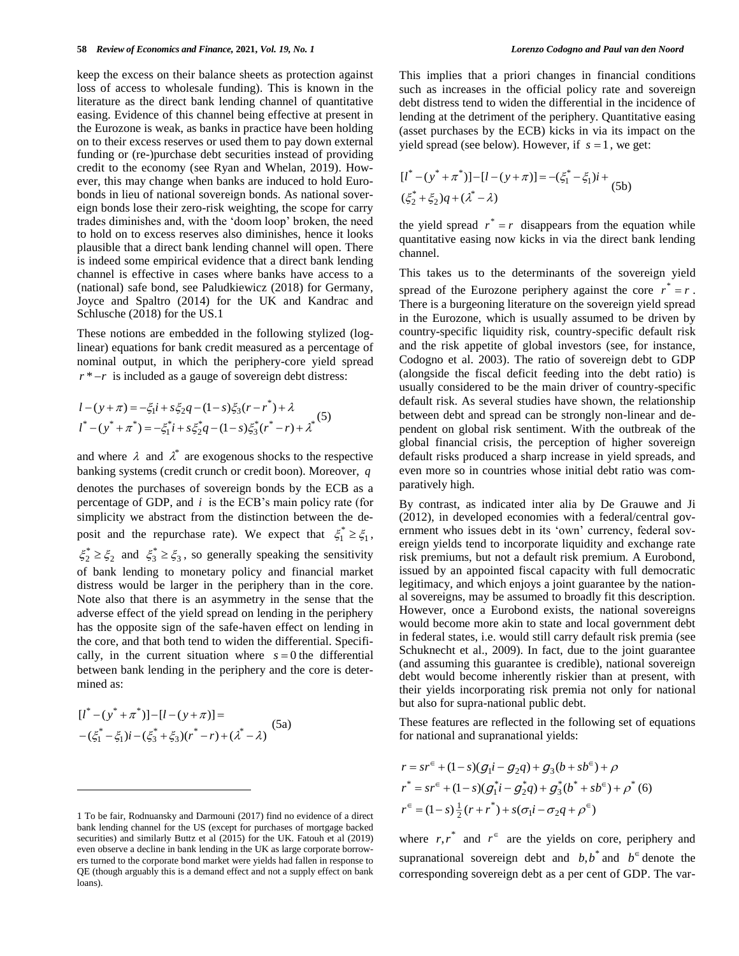keep the excess on their balance sheets as protection against loss of access to wholesale funding). This is known in the literature as the direct bank lending channel of quantitative easing. Evidence of this channel being effective at present in the Eurozone is weak, as banks in practice have been holding on to their excess reserves or used them to pay down external funding or (re-)purchase debt securities instead of providing credit to the economy (see Ryan and Whelan, 2019). However, this may change when banks are induced to hold Eurobonds in lieu of national sovereign bonds. As national sovereign bonds lose their zero-risk weighting, the scope for carry trades diminishes and, with the 'doom loop' broken, the need to hold on to excess reserves also diminishes, hence it looks plausible that a direct bank lending channel will open. There is indeed some empirical evidence that a direct bank lending channel is effective in cases where banks have access to a (national) safe bond, see Paludkiewicz (2018) for Germany, Joyce and Spaltro (2014) for the UK and Kandrac and Schlusche (2018) for the US.1

These notions are embedded in the following stylized (loglinear) equations for bank credit measured as a percentage of nominal output, in which the periphery-core yield spread *<sup>r</sup>* \* *r* is included as a gauge of sovereign debt distress:

$$
l - (y + \pi) = -\xi_1 i + s\xi_2 q - (1 - s)\xi_3 (r - r^*) + \lambda
$$
  

$$
l^* - (y^* + \pi^*) = -\xi_1^* i + s\xi_2^* q - (1 - s)\xi_3^* (r^* - r) + \lambda^*
$$
 (5)

and where  $\lambda$  and  $\lambda^*$  are exogenous shocks to the respective banking systems (credit crunch or credit boon). Moreover, *q* denotes the purchases of sovereign bonds by the ECB as a percentage of GDP, and *i* is the ECB's main policy rate (for simplicity we abstract from the distinction between the deposit and the repurchase rate). We expect that  $\xi_1^* \geq \xi_1$ ,  $\xi_2^* \geq \xi_2$  and  $\xi_3^* \geq \xi_3$ , so generally speaking the sensitivity of bank lending to monetary policy and financial market distress would be larger in the periphery than in the core. Note also that there is an asymmetry in the sense that the adverse effect of the yield spread on lending in the periphery has the opposite sign of the safe-haven effect on lending in the core, and that both tend to widen the differential. Specifically, in the current situation where  $s = 0$  the differential between bank lending in the periphery and the core is determined as:

$$
\begin{aligned} \left[l^* - (y^* + \pi^*)\right] - \left[l - (y + \pi)\right] &= \\ -\left(\xi_1^* - \xi_1\right)i - \left(\xi_3^* + \xi_3\right)(r^* - r) + \left(\lambda^* - \lambda\right) \end{aligned} \tag{5a}
$$

 $\overline{a}$ 

This implies that a priori changes in financial conditions such as increases in the official policy rate and sovereign debt distress tend to widen the differential in the incidence of lending at the detriment of the periphery. Quantitative easing (asset purchases by the ECB) kicks in via its impact on the yield spread (see below). However, if  $s = 1$ , we get:

$$
\begin{aligned} [l^* - (y^* + \pi^*)] - [l - (y + \pi)] &= -(\xi_1^* - \xi_1)i + (5b) \\ (\xi_2^* + \xi_2)q + (\lambda^* - \lambda) \end{aligned}
$$

the yield spread  $r^* = r$  disappears from the equation while quantitative easing now kicks in via the direct bank lending channel.

This takes us to the determinants of the sovereign yield spread of the Eurozone periphery against the core  $r^* = r$ . There is a burgeoning literature on the sovereign yield spread in the Eurozone, which is usually assumed to be driven by country-specific liquidity risk, country-specific default risk and the risk appetite of global investors (see, for instance, Codogno et al. 2003). The ratio of sovereign debt to GDP (alongside the fiscal deficit feeding into the debt ratio) is usually considered to be the main driver of country-specific default risk. As several studies have shown, the relationship between debt and spread can be strongly non-linear and dependent on global risk sentiment. With the outbreak of the global financial crisis, the perception of higher sovereign default risks produced a sharp increase in yield spreads, and even more so in countries whose initial debt ratio was comparatively high.

By contrast, as indicated inter alia by De Grauwe and Ji (2012), in developed economies with a federal/central government who issues debt in its 'own' currency, federal sovereign yields tend to incorporate liquidity and exchange rate risk premiums, but not a default risk premium. A Eurobond, issued by an appointed fiscal capacity with full democratic legitimacy, and which enjoys a joint guarantee by the national sovereigns, may be assumed to broadly fit this description. However, once a Eurobond exists, the national sovereigns would become more akin to state and local government debt in federal states, i.e. would still carry default risk premia (see Schuknecht et al., 2009). In fact, due to the joint guarantee (and assuming this guarantee is credible), national sovereign debt would become inherently riskier than at present, with their yields incorporating risk premia not only for national but also for supra-national public debt.

These features are reflected in the following set of equations for national and supranational yields:

$$
r = sr^{\epsilon} + (1 - s)(g_1 i - g_2 q) + g_3 (b + sb^{\epsilon}) + \rho
$$
  
\n
$$
r^* = sr^{\epsilon} + (1 - s)(g_1^* i - g_2^* q) + g_3^* (b^* + sb^{\epsilon}) + \rho^* (6)
$$
  
\n
$$
r^{\epsilon} = (1 - s) \frac{1}{2} (r + r^*) + s(\sigma_1 i - \sigma_2 q + \rho^{\epsilon})
$$

where  $r, r^*$  and  $r^{\epsilon}$  are the yields on core, periphery and supranational sovereign debt and  $b,b^*$  and  $b^{\in}$  denote the corresponding sovereign debt as a per cent of GDP. The var-

<sup>1</sup> To be fair, Rodnuansky and Darmouni (2017) find no evidence of a direct bank lending channel for the US (except for purchases of mortgage backed securities) and similarly Buttz et al (2015) for the UK. Fatouh et al (2019) even observe a decline in bank lending in the UK as large corporate borrowers turned to the corporate bond market were yields had fallen in response to QE (though arguably this is a demand effect and not a supply effect on bank loans).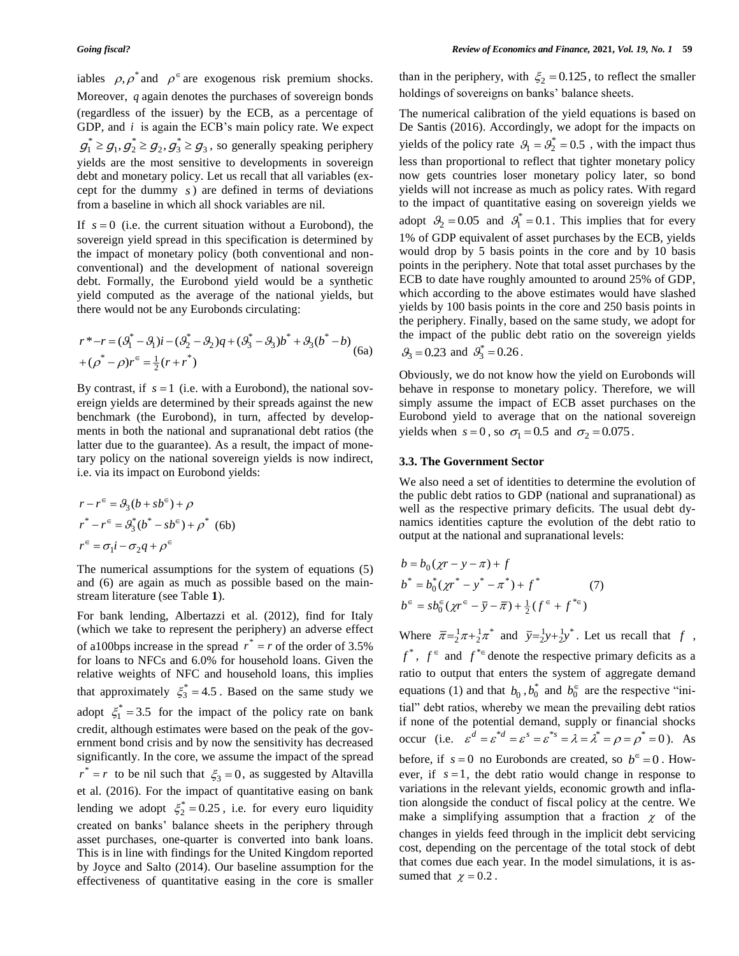iables  $\rho$ ,  $\rho^*$  and  $\rho^{\epsilon}$  are exogenous risk premium shocks. Moreover, *q* again denotes the purchases of sovereign bonds (regardless of the issuer) by the ECB, as a percentage of GDP, and *i* is again the ECB's main policy rate. We expect  $g_1^* \geq g_1, g_2^* \geq g_2, g_3^* \geq g_3$ , so generally speaking periphery yields are the most sensitive to developments in sovereign debt and monetary policy. Let us recall that all variables (except for the dummy *s* ) are defined in terms of deviations from a baseline in which all shock variables are nil.

If  $s = 0$  (i.e. the current situation without a Eurobond), the sovereign yield spread in this specification is determined by the impact of monetary policy (both conventional and nonconventional) and the development of national sovereign debt. Formally, the Eurobond yield would be a synthetic yield computed as the average of the national yields, but there would not be any Eurobonds circulating:

$$
r^* - r = (\mathcal{G}_1^* - \mathcal{G}_1)i - (\mathcal{G}_2^* - \mathcal{G}_2)q + (\mathcal{G}_3^* - \mathcal{G}_3)b^* + \mathcal{G}_3(b^* - b) + (\rho^* - \rho)r^{\epsilon} = \frac{1}{2}(r + r^*)
$$
\n(6a)

By contrast, if  $s = 1$  (i.e. with a Eurobond), the national sovereign yields are determined by their spreads against the new benchmark (the Eurobond), in turn, affected by developments in both the national and supranational debt ratios (the latter due to the guarantee). As a result, the impact of monetary policy on the national sovereign yields is now indirect, i.e. via its impact on Eurobond yields:

$$
r - r^{\epsilon} = \theta_3(b + sb^{\epsilon}) + \rho
$$
  
\n
$$
r^* - r^{\epsilon} = \theta_3^*(b^* - sb^{\epsilon}) + \rho^*
$$
 (6b)  
\n
$$
r^{\epsilon} = \sigma_1 i - \sigma_2 q + \rho^{\epsilon}
$$

The numerical assumptions for the system of equations (5) and (6) are again as much as possible based on the mainstream literature (see Table **1**).

For bank lending, Albertazzi et al. (2012), find for Italy (which we take to represent the periphery) an adverse effect of a100bps increase in the spread  $r^* = r$  of the order of 3.5% for loans to NFCs and 6.0% for household loans. Given the relative weights of NFC and household loans, this implies that approximately  $\xi_3^* = 4.5$ . Based on the same study we adopt  $\xi_1^* = 3.5$  for the impact of the policy rate on bank credit, although estimates were based on the peak of the government bond crisis and by now the sensitivity has decreased significantly. In the core, we assume the impact of the spread  $r^* = r$  to be nil such that  $\zeta_3 = 0$ , as suggested by Altavilla et al. (2016). For the impact of quantitative easing on bank lending we adopt  $\xi_2^* = 0.25$ , i.e. for every euro liquidity created on banks' balance sheets in the periphery through asset purchases, one-quarter is converted into bank loans. This is in line with findings for the United Kingdom reported by Joyce and Salto (2014). Our baseline assumption for the effectiveness of quantitative easing in the core is smaller

than in the periphery, with  $\xi_2 = 0.125$ , to reflect the smaller holdings of sovereigns on banks' balance sheets.

The numerical calibration of the yield equations is based on De Santis (2016). Accordingly, we adopt for the impacts on yields of the policy rate  $\mathcal{G}_1 = \mathcal{G}_2^* = 0.5$ , with the impact thus less than proportional to reflect that tighter monetary policy now gets countries loser monetary policy later, so bond yields will not increase as much as policy rates. With regard to the impact of quantitative easing on sovereign yields we adopt  $\mathcal{G}_2 = 0.05$  and  $\mathcal{G}_1^* = 0.1$ . This implies that for every 1% of GDP equivalent of asset purchases by the ECB, yields would drop by 5 basis points in the core and by 10 basis points in the periphery. Note that total asset purchases by the ECB to date have roughly amounted to around 25% of GDP, which according to the above estimates would have slashed yields by 100 basis points in the core and 250 basis points in the periphery. Finally, based on the same study, we adopt for the impact of the public debt ratio on the sovereign yields  $\mathcal{G}_3 = 0.23$  and  $\mathcal{G}_3^* = 0.26$ .

Obviously, we do not know how the yield on Eurobonds will behave in response to monetary policy. Therefore, we will simply assume the impact of ECB asset purchases on the Eurobond yield to average that on the national sovereign yields when  $s = 0$ , so  $\sigma_1 = 0.5$  and  $\sigma_2 = 0.075$ .

#### **3.3. The Government Sector**

We also need a set of identities to determine the evolution of the public debt ratios to GDP (national and supranational) as well as the respective primary deficits. The usual debt dynamics identities capture the evolution of the debt ratio to output at the national and supranational levels:

$$
b = b_0(\chi r - y - \pi) + f
$$
  
\n
$$
b^* = b_0^*(\chi r^* - y^* - \pi^*) + f^*
$$
\n
$$
b^{\epsilon} = sb_0^{\epsilon}(\chi r^{\epsilon} - \bar{y} - \bar{\pi}) + \frac{1}{2}(f^{\epsilon} + f^{*_{\epsilon}})
$$
\n(7)

Where  $\overline{\pi} = \frac{1}{2}\pi + \frac{1}{2}\pi^*$  and  $\overline{y} = \frac{1}{2}y + \frac{1}{2}y^*$ . Let us recall that f,  $f^*$ ,  $f^{\epsilon}$  and  $f^{*_{\epsilon}}$  denote the respective primary deficits as a ratio to output that enters the system of aggregate demand equations (1) and that  $b_0$ ,  $b_0^*$  and  $b_0^{\epsilon}$  are the respective "initial" debt ratios, whereby we mean the prevailing debt ratios if none of the potential demand, supply or financial shocks occur (i.e.  $\varepsilon^d = \varepsilon^{*d} = \varepsilon^s = \varepsilon^{*s} = \lambda = \lambda^* = \rho = \rho^* = 0$ ). As before, if  $s = 0$  no Eurobonds are created, so  $b^{\infty} = 0$ . However, if  $s = 1$ , the debt ratio would change in response to variations in the relevant yields, economic growth and inflation alongside the conduct of fiscal policy at the centre. We make a simplifying assumption that a fraction  $\chi$  of the changes in yields feed through in the implicit debt servicing cost, depending on the percentage of the total stock of debt that comes due each year. In the model simulations, it is assumed that  $\chi = 0.2$ .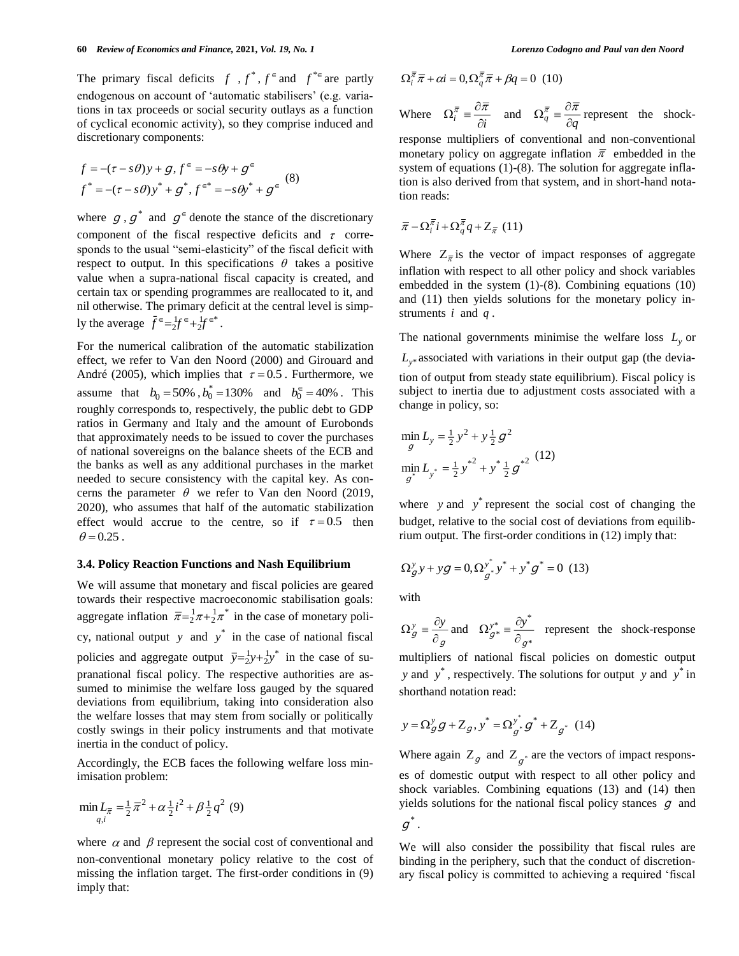The primary fiscal deficits  $f, f^*, f^*$  and  $f^{*}$  are partly endogenous on account of 'automatic stabilisers' (e.g. variations in tax proceeds or social security outlays as a function of cyclical economic activity), so they comprise induced and discretionary components:

$$
f = -(\tau - s\theta)y + g, f^{\epsilon} = -s\theta y + g^{\epsilon}
$$
  

$$
f^* = -(\tau - s\theta)y^* + g^*, f^{\epsilon^*} = -s\theta y^* + g^{\epsilon}
$$
 (8)

where  $g, g^*$  and  $g^{\epsilon}$  denote the stance of the discretionary component of the fiscal respective deficits and  $\tau$  corresponds to the usual "semi-elasticity" of the fiscal deficit with respect to output. In this specifications  $\theta$  takes a positive value when a supra-national fiscal capacity is created, and certain tax or spending programmes are reallocated to it, and nil otherwise. The primary deficit at the central level is simply the average  $f^{\epsilon} = \frac{1}{2} f^{\epsilon} + \frac{1}{2} f^{\epsilon *}$ .

For the numerical calibration of the automatic stabilization effect, we refer to Van den Noord (2000) and Girouard and André (2005), which implies that  $\tau = 0.5$ . Furthermore, we assume that  $b_0 = 50\%$ ,  $b_0^* = 130\%$  and  $b_0^{\infty} = 40\%$ . This roughly corresponds to, respectively, the public debt to GDP ratios in Germany and Italy and the amount of Eurobonds that approximately needs to be issued to cover the purchases of national sovereigns on the balance sheets of the ECB and the banks as well as any additional purchases in the market needed to secure consistency with the capital key. As concerns the parameter  $\theta$  we refer to Van den Noord (2019, 2020), who assumes that half of the automatic stabilization effect would accrue to the centre, so if  $\tau = 0.5$  then  $\theta$  = 0.25.

#### **3.4. Policy Reaction Functions and Nash Equilibrium**

We will assume that monetary and fiscal policies are geared towards their respective macroeconomic stabilisation goals: aggregate inflation  $\bar{\pi} = \frac{1}{2}\pi + \frac{1}{2}\pi^*$  in the case of monetary policy, national output y and  $y^*$  in the case of national fiscal policies and aggregate output  $\bar{y} = \frac{1}{2}y + \frac{1}{2}y^*$  in the case of supranational fiscal policy. The respective authorities are assumed to minimise the welfare loss gauged by the squared deviations from equilibrium, taking into consideration also the welfare losses that may stem from socially or politically costly swings in their policy instruments and that motivate inertia in the conduct of policy.

Accordingly, the ECB faces the following welfare loss minimisation problem:

$$
\min_{q,i} L_{\overline{n}} = \frac{1}{2} \overline{n}^2 + \alpha \frac{1}{2} i^2 + \beta \frac{1}{2} q^2 \tag{9}
$$

where  $\alpha$  and  $\beta$  represent the social cost of conventional and non-conventional monetary policy relative to the cost of missing the inflation target. The first-order conditions in (9) imply that:

$$
\Omega_i^{\overline{\pi}} \overline{\pi} + \alpha i = 0, \Omega_q^{\overline{\pi}} \overline{\pi} + \beta q = 0 \quad (10)
$$

Where 
$$
\Omega_i^{\overline{\pi}} \equiv \frac{\partial \overline{\pi}}{\partial i}
$$
 and  $\Omega_q^{\overline{\pi}} \equiv \frac{\partial \overline{\pi}}{\partial q}$  represent the shock-

response multipliers of conventional and non-conventional monetary policy on aggregate inflation  $\bar{\pi}$  embedded in the system of equations (1)-(8). The solution for aggregate inflation is also derived from that system, and in short-hand notation reads:

$$
\overline{\pi} - \Omega_i^{\overline{\pi}} i + \Omega_{q}^{\overline{\pi}} q + Z_{\overline{\pi}} \quad (11)
$$

Where  $Z_{\overline{x}}$  is the vector of impact responses of aggregate inflation with respect to all other policy and shock variables embedded in the system (1)-(8). Combining equations (10) and (11) then yields solutions for the monetary policy instruments  $i$  and  $q$ .

The national governments minimise the welfare loss  $L_y$  or

*<sup>L</sup>y*\* associated with variations in their output gap (the deviation of output from steady state equilibrium). Fiscal policy is subject to inertia due to adjustment costs associated with a change in policy, so:

$$
\min_{g} L_{y} = \frac{1}{2} y^{2} + y \frac{1}{2} g^{2}
$$
\n
$$
\min_{g^{*}} L_{y^{*}} = \frac{1}{2} y^{*2} + y^{*} \frac{1}{2} g^{*2} \tag{12}
$$

where  $y$  and  $y^*$  represent the social cost of changing the budget, relative to the social cost of deviations from equilibrium output. The first-order conditions in (12) imply that:

$$
\Omega_{g}^{y} y + yg = 0, \Omega_{g^{*}}^{y^{*}} y^{*} + y^{*} g^{*} = 0
$$
 (13)

with

<sup>g</sup>  $\partial_g$  $\Omega_{g}^{y} \equiv \frac{\partial y}{\partial g}$  and  $\Omega_{g^{*}}^{y^{*}} \equiv \frac{\partial y}{\partial g^{*}}$  $y^*_{g^*} \equiv \frac{\partial y^*}{\partial_{g^*}}$  $\Omega_{\sigma^*}^{y^*} = \frac{\partial y}{\partial \sigma^2}$  represent the shock-response

multipliers of national fiscal policies on domestic output *y* and  $y^*$ , respectively. The solutions for output y and  $y^*$  in shorthand notation read:

$$
y = \Omega_{g}^{y} g + Z_{g}, y^{*} = \Omega_{g^{*}}^{y^{*}} g^{*} + Z_{g^{*}} (14)
$$

Where again  $Z_g$  and  $Z_{g^*}$  are the vectors of impact responses of domestic output with respect to all other policy and shock variables. Combining equations (13) and (14) then yields solutions for the national fiscal policy stances  $g$  and  $g^{\ast}.$ 

We will also consider the possibility that fiscal rules are binding in the periphery, such that the conduct of discretionary fiscal policy is committed to achieving a required 'fiscal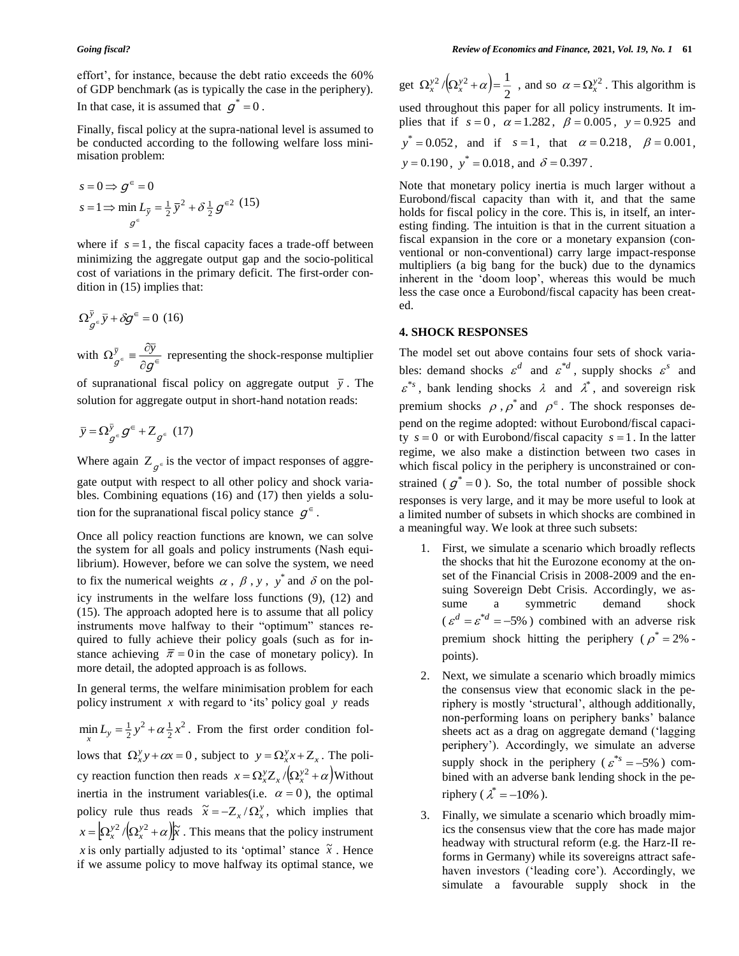effort', for instance, because the debt ratio exceeds the 60% of GDP benchmark (as is typically the case in the periphery). In that case, it is assumed that  $g^* = 0$ .

Finally, fiscal policy at the supra-national level is assumed to be conducted according to the following welfare loss minimisation problem:

$$
s = 0 \Rightarrow g^{\in} = 0
$$
  
\n
$$
s = 1 \Rightarrow \min L_{\overline{y}} = \frac{1}{2} \overline{y}^{2} + \delta \frac{1}{2} g^{\in 2}
$$
 (15)

where if  $s = 1$ , the fiscal capacity faces a trade-off between minimizing the aggregate output gap and the socio-political cost of variations in the primary deficit. The first-order condition in (15) implies that:

$$
\Omega_{g^{\epsilon}}^{\bar{y}}\bar{y} + \delta g^{\epsilon} = 0 \quad (16)
$$

with  $\Omega_{g^{\epsilon}}^{y} \equiv \frac{\partial y}{\partial q^{\epsilon}}$  $\Omega_{g^{\epsilon}}^{\bar{y}} \equiv \frac{\partial \bar{y}}{\partial g}$  $\overline{y}$  =  $\frac{oy}{2\epsilon}$  representing the shock-response multiplier

of supranational fiscal policy on aggregate output  $\bar{y}$ . The solution for aggregate output in short-hand notation reads:

$$
\bar{y} = \Omega_{g^{\epsilon}}^{\bar{y}} g^{\epsilon} + Z_{g^{\epsilon}} (17)
$$

Where again  $Z_{g^{\epsilon}}$  is the vector of impact responses of aggregate output with respect to all other policy and shock variables. Combining equations (16) and (17) then yields a solution for the supranational fiscal policy stance  $g^{\epsilon}$ .

Once all policy reaction functions are known, we can solve the system for all goals and policy instruments (Nash equilibrium). However, before we can solve the system, we need to fix the numerical weights  $\alpha$ ,  $\beta$ ,  $y$ ,  $y^*$  and  $\delta$  on the policy instruments in the welfare loss functions (9), (12) and (15). The approach adopted here is to assume that all policy instruments move halfway to their "optimum" stances required to fully achieve their policy goals (such as for instance achieving  $\bar{\pi} = 0$  in the case of monetary policy). In more detail, the adopted approach is as follows.

In general terms, the welfare minimisation problem for each policy instrument *x* with regard to 'its' policy goal *y* reads

2  $\min L_y = \frac{1}{2}y^2 + \alpha \frac{1}{2}x^2$ . From the first order condition fol*x* lows that  $\Omega_x^y y + \alpha x = 0$ , subject to  $y = \Omega_x^y x + Z_x$ . The policy reaction function then reads  $x = \Omega_x^y Z_x / (\Omega_x^y)^2 + \alpha$  Without inertia in the instrument variables(i.e.  $\alpha = 0$ ), the optimal policy rule thus reads  $\tilde{x} = -Z_x/\Omega_x^y$ , which implies that  $x = \left[\Omega_x^{y2}/(\Omega_x^{y2} + \alpha)\right]$  *x*. This means that the policy instrument x is only partially adjusted to its 'optimal' stance  $\tilde{x}$ . Hence if we assume policy to move halfway its optimal stance, we

get  $\Omega_x^{y^2}/(\Omega_x^{y^2} + \alpha) = \frac{1}{2}$  $\Omega_x^{\gamma^2}/(\Omega_x^{\gamma^2}+\alpha) = \frac{1}{2}$ , and so  $\alpha = \Omega_x^{\gamma^2}$ . This algorithm is used throughout this paper for all policy instruments. It implies that if  $s = 0$ ,  $\alpha = 1.282$ ,  $\beta = 0.005$ ,  $y = 0.925$  and  $y^* = 0.052$ , and if  $s = 1$ , that  $\alpha = 0.218$ ,  $\beta = 0.001$ ,  $y = 0.190$ ,  $y^* = 0.018$ , and  $\delta = 0.397$ .

Note that monetary policy inertia is much larger without a Eurobond/fiscal capacity than with it, and that the same holds for fiscal policy in the core. This is, in itself, an interesting finding. The intuition is that in the current situation a fiscal expansion in the core or a monetary expansion (conventional or non-conventional) carry large impact-response multipliers (a big bang for the buck) due to the dynamics inherent in the 'doom loop', whereas this would be much less the case once a Eurobond/fiscal capacity has been created.

#### **4. SHOCK RESPONSES**

The model set out above contains four sets of shock variables: demand shocks  $\varepsilon^d$  and  $\varepsilon^{d}$ , supply shocks  $\varepsilon^s$  and  $\varepsilon^{*s}$ , bank lending shocks  $\lambda$  and  $\lambda^{*}$ , and sovereign risk premium shocks  $\rho$ ,  $\rho^*$  and  $\rho^{\epsilon}$ . The shock responses depend on the regime adopted: without Eurobond/fiscal capacity  $s = 0$  or with Eurobond/fiscal capacity  $s = 1$ . In the latter regime, we also make a distinction between two cases in which fiscal policy in the periphery is unconstrained or constrained ( $g^* = 0$ ). So, the total number of possible shock responses is very large, and it may be more useful to look at a limited number of subsets in which shocks are combined in a meaningful way. We look at three such subsets:

- 1. First, we simulate a scenario which broadly reflects the shocks that hit the Eurozone economy at the onset of the Financial Crisis in 2008-2009 and the ensuing Sovereign Debt Crisis. Accordingly, we assume a symmetric demand shock  $\epsilon^{d} = \epsilon^{d} = -5\%$ ) combined with an adverse risk premium shock hitting the periphery ( $\rho^* = 2\%$ . points).
- 2. Next, we simulate a scenario which broadly mimics the consensus view that economic slack in the periphery is mostly 'structural', although additionally, non-performing loans on periphery banks' balance sheets act as a drag on aggregate demand ('lagging periphery'). Accordingly, we simulate an adverse supply shock in the periphery ( $\varepsilon^{*s} = -5\%$ ) combined with an adverse bank lending shock in the periphery ( $\lambda^* = -10\%$ ).
- 3. Finally, we simulate a scenario which broadly mimics the consensus view that the core has made major headway with structural reform (e.g. the Harz-II reforms in Germany) while its sovereigns attract safehaven investors ('leading core'). Accordingly, we simulate a favourable supply shock in the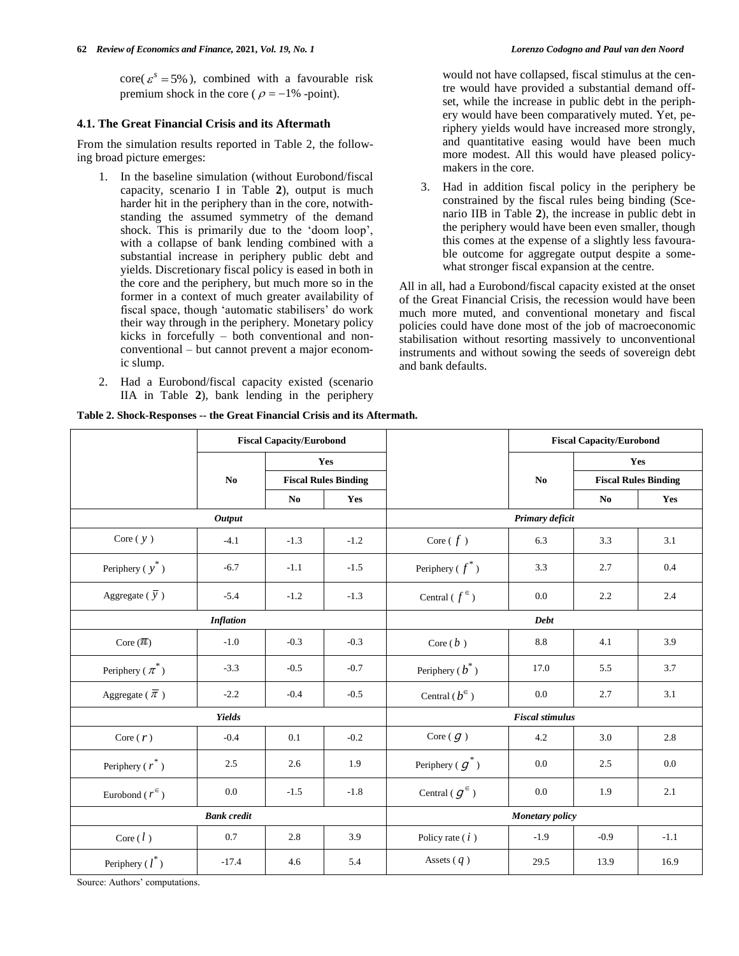$\text{core}( \varepsilon^s = 5\%)$ , combined with a favourable risk premium shock in the core ( $\rho = -1\%$  -point).

### **4.1. The Great Financial Crisis and its Aftermath**

From the simulation results reported in Table 2, the following broad picture emerges:

- 1. In the baseline simulation (without Eurobond/fiscal capacity, scenario I in Table **2**), output is much harder hit in the periphery than in the core, notwithstanding the assumed symmetry of the demand shock. This is primarily due to the 'doom loop', with a collapse of bank lending combined with a substantial increase in periphery public debt and yields. Discretionary fiscal policy is eased in both in the core and the periphery, but much more so in the former in a context of much greater availability of fiscal space, though 'automatic stabilisers' do work their way through in the periphery. Monetary policy kicks in forcefully – both conventional and nonconventional – but cannot prevent a major economic slump.
- 2. Had a Eurobond/fiscal capacity existed (scenario IIA in Table **2**), bank lending in the periphery

would not have collapsed, fiscal stimulus at the centre would have provided a substantial demand offset, while the increase in public debt in the periphery would have been comparatively muted. Yet, pe-

- riphery yields would have increased more strongly, and quantitative easing would have been much more modest. All this would have pleased policymakers in the core. 3. Had in addition fiscal policy in the periphery be
- constrained by the fiscal rules being binding (Scenario IIB in Table **2**), the increase in public debt in the periphery would have been even smaller, though this comes at the expense of a slightly less favourable outcome for aggregate output despite a somewhat stronger fiscal expansion at the centre.

All in all, had a Eurobond/fiscal capacity existed at the onset of the Great Financial Crisis, the recession would have been much more muted, and conventional monetary and fiscal policies could have done most of the job of macroeconomic stabilisation without resorting massively to unconventional instruments and without sowing the seeds of sovereign debt and bank defaults.

|                                  |                    | <b>Fiscal Capacity/Eurobond</b> |                             |                                  |                        | <b>Fiscal Capacity/Eurobond</b> |        |  |
|----------------------------------|--------------------|---------------------------------|-----------------------------|----------------------------------|------------------------|---------------------------------|--------|--|
|                                  |                    |                                 | Yes                         |                                  |                        | Yes                             |        |  |
|                                  | No                 |                                 | <b>Fiscal Rules Binding</b> |                                  | N <sub>0</sub>         | <b>Fiscal Rules Binding</b>     |        |  |
|                                  |                    | No                              | Yes                         |                                  |                        | N <sub>0</sub>                  | Yes    |  |
|                                  | <b>Output</b>      |                                 |                             | Primary deficit                  |                        |                                 |        |  |
| Core $(y)$                       | $-4.1$             | $-1.3$                          | $-1.2$                      | Core $(f)$                       | 6.3                    | 3.3                             | 3.1    |  |
| Periphery $(y^*)$                | $-6.7$             | $-1.1$                          | $-1.5$                      | Periphery ( $f^*$ )              | 3.3                    | 2.7                             | 0.4    |  |
| Aggregate ( $\overline{y}$ )     | $-5.4$             | $-1.2$                          | $-1.3$                      | Central ( $f^{\epsilon}$ )       | 0.0                    | 2.2                             | 2.4    |  |
| <b>Inflation</b>                 |                    |                                 |                             | <b>Debt</b>                      |                        |                                 |        |  |
| Core $(\pi)$                     | $-1.0$             | $-0.3$                          | $-0.3$                      | Core $(b)$                       | 8.8                    | 4.1                             | 3.9    |  |
| Periphery ( $\pi^*$ )            | $-3.3$             | $-0.5$                          | $-0.7$                      | Periphery ( $\boldsymbol{b}^*$ ) | 17.0                   | 5.5                             | 3.7    |  |
| Aggregate ( $\overline{\pi}$ )   | $-2.2$             | $-0.4$                          | $-0.5$                      | Central ( $b^{\in}$ )            | 0.0                    | 2.7                             | 3.1    |  |
|                                  | Yields             |                                 |                             | <b>Fiscal stimulus</b>           |                        |                                 |        |  |
| Core $(r)$                       | $-0.4$             | 0.1                             | $-0.2$                      | Core $(g)$                       | 4.2                    | 3.0                             | 2.8    |  |
| Periphery ( $\boldsymbol{r}^*$ ) | 2.5                | 2.6                             | 1.9                         | Periphery ( $g^*$ )              | 0.0                    | 2.5                             | 0.0    |  |
| Eurobond ( $r^{\epsilon}$ )      | 0.0                | $-1.5$                          | $-1.8$                      | Central ( $g^{\epsilon}$ )       | 0.0                    | 1.9                             | 2.1    |  |
|                                  | <b>Bank</b> credit |                                 |                             |                                  | <b>Monetary policy</b> |                                 |        |  |
| Core $(l)$                       | 0.7                | 2.8                             | 3.9                         | Policy rate $(i)$                | $-1.9$                 | $-0.9$                          | $-1.1$ |  |
| Periphery $(l^*)$                | $-17.4$            | 4.6                             | 5.4                         | Assets $(q)$                     | 29.5                   | 13.9                            | 16.9   |  |

**Table 2. Shock-Responses -- the Great Financial Crisis and its Aftermath.**

Source: Authors' computations.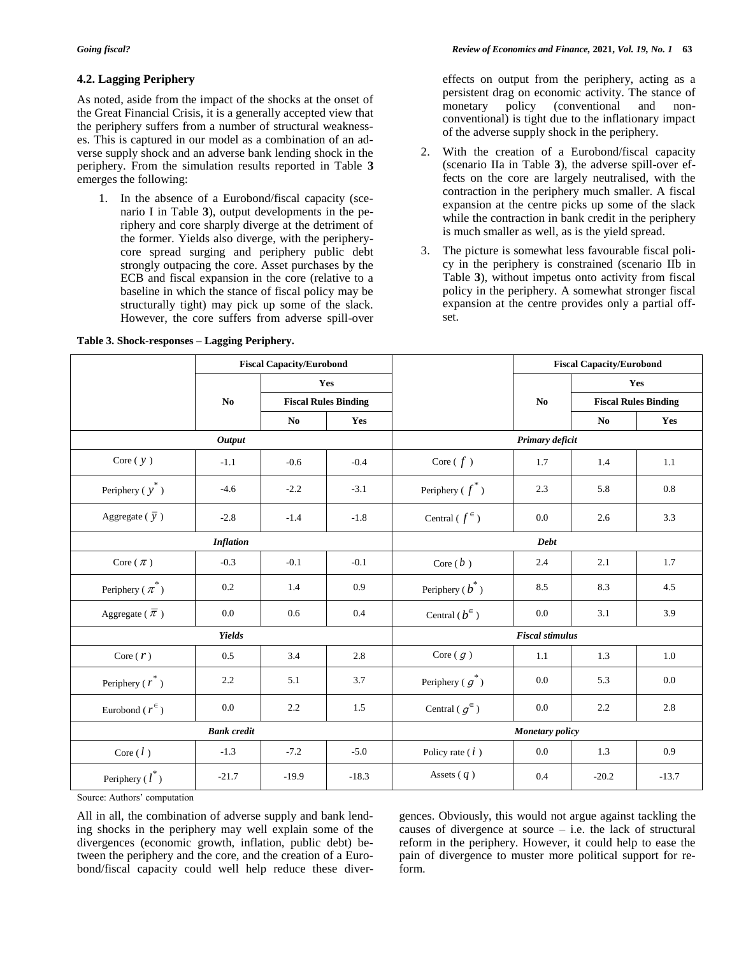# **4.2. Lagging Periphery**

As noted, aside from the impact of the shocks at the onset of the Great Financial Crisis, it is a generally accepted view that the periphery suffers from a number of structural weaknesses. This is captured in our model as a combination of an adverse supply shock and an adverse bank lending shock in the periphery. From the simulation results reported in Table **3** emerges the following:

1. In the absence of a Eurobond/fiscal capacity (scenario I in Table **3**), output developments in the periphery and core sharply diverge at the detriment of the former. Yields also diverge, with the peripherycore spread surging and periphery public debt strongly outpacing the core. Asset purchases by the ECB and fiscal expansion in the core (relative to a baseline in which the stance of fiscal policy may be structurally tight) may pick up some of the slack. However, the core suffers from adverse spill-over

### **Table 3. Shock-responses – Lagging Periphery.**

effects on output from the periphery, acting as a persistent drag on economic activity. The stance of<br>monetary policy (conventional and non-(conventional conventional) is tight due to the inflationary impact of the adverse supply shock in the periphery.

- 2. With the creation of a Eurobond/fiscal capacity (scenario IIa in Table **3**), the adverse spill-over effects on the core are largely neutralised, with the contraction in the periphery much smaller. A fiscal expansion at the centre picks up some of the slack while the contraction in bank credit in the periphery is much smaller as well, as is the yield spread.
- 3. The picture is somewhat less favourable fiscal policy in the periphery is constrained (scenario IIb in Table **3**), without impetus onto activity from fiscal policy in the periphery. A somewhat stronger fiscal expansion at the centre provides only a partial offset.

|                                | <b>Fiscal Capacity/Eurobond</b> |                |                             |                            |                        | <b>Fiscal Capacity/Eurobond</b> |         |  |
|--------------------------------|---------------------------------|----------------|-----------------------------|----------------------------|------------------------|---------------------------------|---------|--|
|                                |                                 |                | Yes                         |                            |                        |                                 | Yes     |  |
|                                | No                              |                | <b>Fiscal Rules Binding</b> |                            | No                     | <b>Fiscal Rules Binding</b>     |         |  |
|                                |                                 | N <sub>0</sub> | Yes                         |                            |                        | No                              | Yes     |  |
|                                | <b>Output</b>                   |                |                             | Primary deficit            |                        |                                 |         |  |
| Core $(y)$                     | $-1.1$                          | $-0.6$         | $-0.4$                      | Core $(f)$                 | 1.7                    | 1.4                             | 1.1     |  |
| Periphery $(y^*)$              | $-4.6$                          | $-2.2$         | $-3.1$                      | Periphery ( $f^*$ )        | 2.3                    | 5.8                             | 0.8     |  |
| Aggregate ( $\overline{y}$ )   | $-2.8$                          | $-1.4$         | $-1.8$                      | Central ( $f^{\epsilon}$ ) | 0.0                    | 2.6                             | 3.3     |  |
|                                |                                 |                |                             | Debt                       |                        |                                 |         |  |
| Core $(\pi)$                   | $-0.3$                          | $-0.1$         | $-0.1$                      | Core $(b)$                 | 2.4                    | 2.1                             | 1.7     |  |
| Periphery ( $\pi^*$ )          | 0.2                             | 1.4            | 0.9                         | Periphery ( $b^*$ )        | 8.5                    | 8.3                             | 4.5     |  |
| Aggregate ( $\overline{\pi}$ ) | 0.0                             | 0.6            | 0.4                         | Central $(b^{\in})$        | 0.0                    | 3.1                             | 3.9     |  |
|                                | <b>Yields</b>                   |                |                             |                            | <b>Fiscal stimulus</b> |                                 |         |  |
| Core $(r)$                     | 0.5                             | 3.4            | 2.8                         | Core $(g)$                 | 1.1                    | 1.3                             | 1.0     |  |
| Periphery ( $r^*$ )            | 2.2                             | 5.1            | 3.7                         | Periphery ( $g^*$ )        | 0.0                    | 5.3                             | 0.0     |  |
| Eurobond ( $r^{\epsilon}$ )    | 0.0                             | 2.2            | 1.5                         | Central ( $g^{\in}$ )      | 0.0                    | 2.2                             | 2.8     |  |
|                                | <b>Bank</b> credit              |                |                             | <b>Monetary</b> policy     |                        |                                 |         |  |
| Core $(l)$                     | $-1.3$                          | $-7.2$         | $-5.0$                      | Policy rate $(i)$          | 0.0                    | 1.3                             | 0.9     |  |
| Periphery $(l^*)$              | $-21.7$                         | $-19.9$        | $-18.3$                     | Assets $(q)$               | 0.4                    | $-20.2$                         | $-13.7$ |  |

Source: Authors' computation

All in all, the combination of adverse supply and bank lending shocks in the periphery may well explain some of the divergences (economic growth, inflation, public debt) between the periphery and the core, and the creation of a Eurobond/fiscal capacity could well help reduce these divergences. Obviously, this would not argue against tackling the causes of divergence at source – i.e. the lack of structural reform in the periphery. However, it could help to ease the pain of divergence to muster more political support for reform.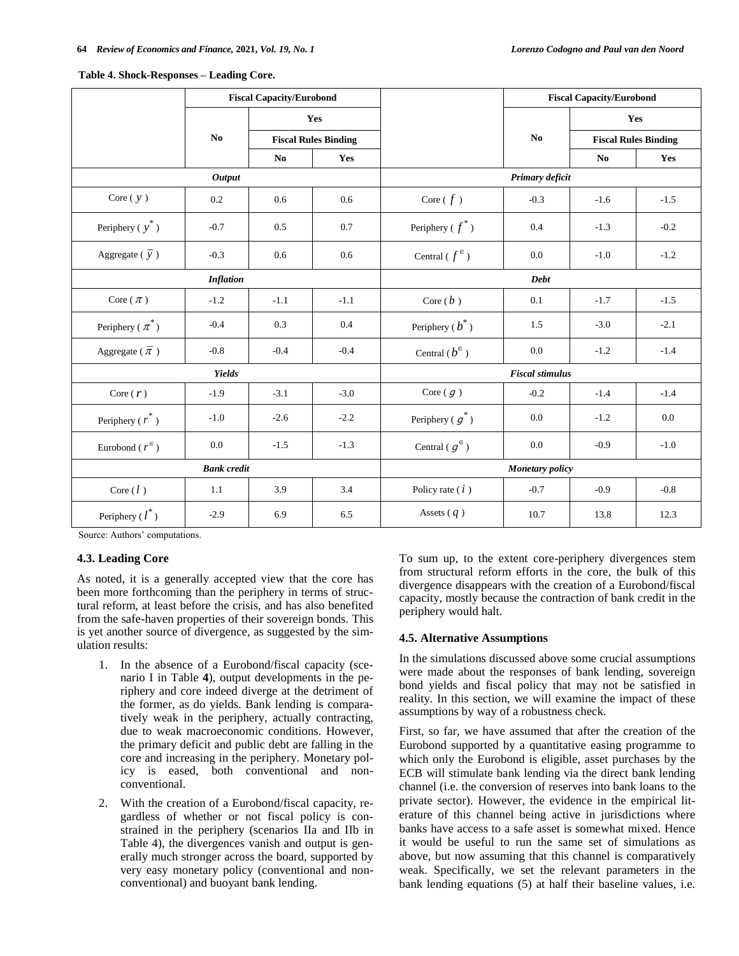|                                |                    | <b>Fiscal Capacity/Eurobond</b> |                             |                       |                        | <b>Fiscal Capacity/Eurobond</b> |                             |  |  |  |
|--------------------------------|--------------------|---------------------------------|-----------------------------|-----------------------|------------------------|---------------------------------|-----------------------------|--|--|--|
|                                |                    |                                 | Yes                         |                       |                        |                                 | Yes                         |  |  |  |
|                                | N <sub>0</sub>     |                                 | <b>Fiscal Rules Binding</b> |                       | No                     |                                 | <b>Fiscal Rules Binding</b> |  |  |  |
|                                |                    | No                              | Yes                         |                       |                        | N <sub>0</sub>                  | Yes                         |  |  |  |
|                                | <b>Output</b>      |                                 |                             |                       | Primary deficit        |                                 |                             |  |  |  |
| Core $(y)$                     | 0.2                | 0.6                             | 0.6                         | Core $(f)$            | $-0.3$                 | $-1.6$                          | $-1.5$                      |  |  |  |
| Periphery ( $y^*$ )            | $-0.7$             | 0.5                             | 0.7                         | Periphery ( $f^*$ )   | 0.4                    | $-1.3$                          | $-0.2$                      |  |  |  |
| Aggregate ( $\overline{y}$ )   | $-0.3$             | 0.6                             | 0.6                         | Central ( $f^{\in}$ ) | 0.0                    | $-1.0$                          | $-1.2$                      |  |  |  |
|                                | <b>Inflation</b>   |                                 |                             |                       | <b>Debt</b>            |                                 |                             |  |  |  |
| Core $(\pi)$                   | $-1.2$             | $-1.1$                          | $-1.1$                      | Core $(b)$            | 0.1                    | $-1.7$                          | $-1.5$                      |  |  |  |
| Periphery ( $\pi^*$ )          | $-0.4$             | 0.3                             | 0.4                         | Periphery $(b^*)$     | 1.5                    | $-3.0$                          | $-2.1$                      |  |  |  |
| Aggregate ( $\overline{\pi}$ ) | $-0.8$             | $-0.4$                          | $-0.4$                      | Central $(b^{\in})$   | 0.0                    | $-1.2$                          | $-1.4$                      |  |  |  |
|                                | Yields             |                                 |                             |                       | <b>Fiscal stimulus</b> |                                 |                             |  |  |  |
| Core $(r)$                     | $-1.9$             | $-3.1$                          | $-3.0$                      | Core $(g)$            | $-0.2$                 | $-1.4$                          | $-1.4$                      |  |  |  |
| Periphery ( $r^*$ )            | $-1.0$             | $-2.6$                          | $-2.2$                      | Periphery ( $g^*$ )   | 0.0                    | $-1.2$                          | 0.0                         |  |  |  |
| Eurobond ( $r^{\epsilon}$ )    | 0.0                | $-1.5$                          | $-1.3$                      | Central ( $g^{\in}$ ) | 0.0                    | $-0.9$                          | $-1.0$                      |  |  |  |
|                                | <b>Bank</b> credit |                                 |                             |                       | <b>Monetary</b> policy |                                 |                             |  |  |  |
| Core $(l)$                     | 1.1                | 3.9                             | 3.4                         | Policy rate $(i)$     | $-0.7$                 | $-0.9$                          | $-0.8$                      |  |  |  |
| Periphery $(l^*)$              | $-2.9$             | 6.9                             | 6.5                         | Assets $(q)$          | 10.7                   | 13.8                            | 12.3                        |  |  |  |

#### **Table 4. Shock-Responses – Leading Core.**

Source: Authors' computations.

### **4.3. Leading Core**

As noted, it is a generally accepted view that the core has been more forthcoming than the periphery in terms of structural reform, at least before the crisis, and has also benefited from the safe-haven properties of their sovereign bonds. This is yet another source of divergence, as suggested by the simulation results:

- 1. In the absence of a Eurobond/fiscal capacity (scenario I in Table **4**), output developments in the periphery and core indeed diverge at the detriment of the former, as do yields. Bank lending is comparatively weak in the periphery, actually contracting, due to weak macroeconomic conditions. However, the primary deficit and public debt are falling in the core and increasing in the periphery. Monetary policy is eased, both conventional and nonconventional.
- 2. With the creation of a Eurobond/fiscal capacity, regardless of whether or not fiscal policy is constrained in the periphery (scenarios IIa and IIb in Table 4), the divergences vanish and output is generally much stronger across the board, supported by very easy monetary policy (conventional and nonconventional) and buoyant bank lending.

To sum up, to the extent core-periphery divergences stem from structural reform efforts in the core, the bulk of this divergence disappears with the creation of a Eurobond/fiscal capacity, mostly because the contraction of bank credit in the periphery would halt.

### **4.5. Alternative Assumptions**

In the simulations discussed above some crucial assumptions were made about the responses of bank lending, sovereign bond yields and fiscal policy that may not be satisfied in reality. In this section, we will examine the impact of these assumptions by way of a robustness check.

First, so far, we have assumed that after the creation of the Eurobond supported by a quantitative easing programme to which only the Eurobond is eligible, asset purchases by the ECB will stimulate bank lending via the direct bank lending channel (i.e. the conversion of reserves into bank loans to the private sector). However, the evidence in the empirical literature of this channel being active in jurisdictions where banks have access to a safe asset is somewhat mixed. Hence it would be useful to run the same set of simulations as above, but now assuming that this channel is comparatively weak. Specifically, we set the relevant parameters in the bank lending equations (5) at half their baseline values, i.e.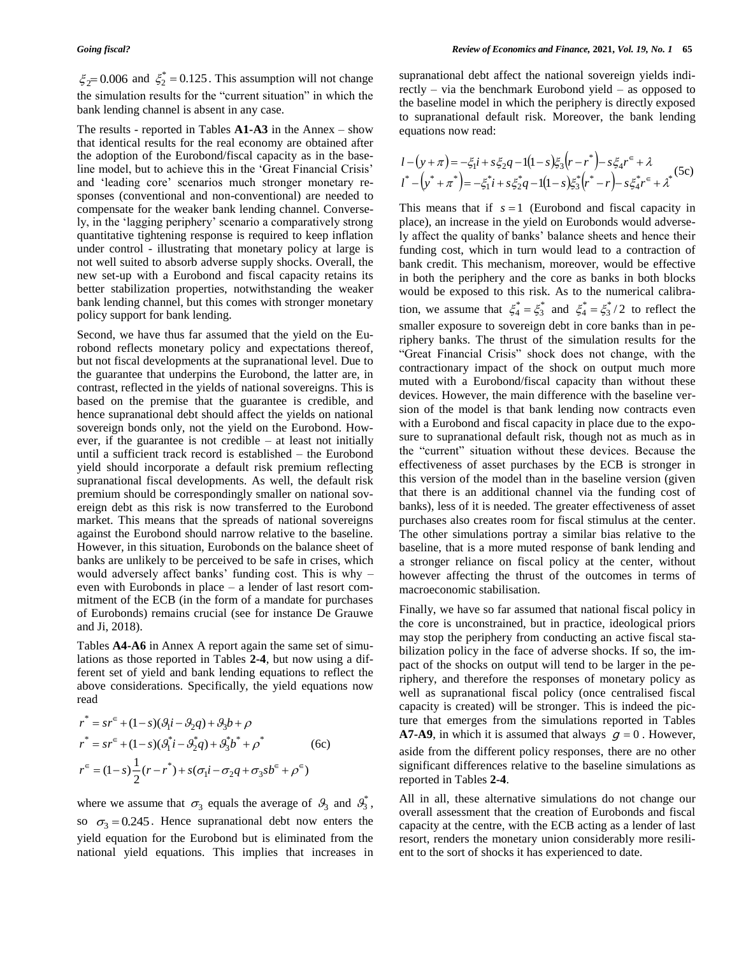$\zeta_2 = 0.006$  and  $\zeta_2^* = 0.125$ . This assumption will not change the simulation results for the "current situation" in which the bank lending channel is absent in any case.

The results - reported in Tables **A1-A3** in the Annex – show that identical results for the real economy are obtained after the adoption of the Eurobond/fiscal capacity as in the baseline model, but to achieve this in the 'Great Financial Crisis' and 'leading core' scenarios much stronger monetary responses (conventional and non-conventional) are needed to compensate for the weaker bank lending channel. Conversely, in the 'lagging periphery' scenario a comparatively strong quantitative tightening response is required to keep inflation under control - illustrating that monetary policy at large is not well suited to absorb adverse supply shocks. Overall, the new set-up with a Eurobond and fiscal capacity retains its better stabilization properties, notwithstanding the weaker bank lending channel, but this comes with stronger monetary policy support for bank lending.

Second, we have thus far assumed that the yield on the Eurobond reflects monetary policy and expectations thereof, but not fiscal developments at the supranational level. Due to the guarantee that underpins the Eurobond, the latter are, in contrast, reflected in the yields of national sovereigns. This is based on the premise that the guarantee is credible, and hence supranational debt should affect the yields on national sovereign bonds only, not the yield on the Eurobond. However, if the guarantee is not credible – at least not initially until a sufficient track record is established – the Eurobond yield should incorporate a default risk premium reflecting supranational fiscal developments. As well, the default risk premium should be correspondingly smaller on national sovereign debt as this risk is now transferred to the Eurobond market. This means that the spreads of national sovereigns against the Eurobond should narrow relative to the baseline. However, in this situation, Eurobonds on the balance sheet of banks are unlikely to be perceived to be safe in crises, which would adversely affect banks' funding cost. This is why – even with Eurobonds in place – a lender of last resort commitment of the ECB (in the form of a mandate for purchases of Eurobonds) remains crucial (see for instance De Grauwe and Ji, 2018).

Tables **A4-A6** in Annex A report again the same set of simulations as those reported in Tables **2-4**, but now using a different set of yield and bank lending equations to reflect the above considerations. Specifically, the yield equations now read

$$
r^* = sr^{\epsilon} + (1 - s)(\theta_1 i - \theta_2 q) + \theta_3 b + \rho
$$
  
\n
$$
r^* = sr^{\epsilon} + (1 - s)(\theta_1^* i - \theta_2^* q) + \theta_3^* b^* + \rho^*
$$
 (6c)  
\n
$$
r^{\epsilon} = (1 - s)\frac{1}{2}(r - r^*) + s(\sigma_1 i - \sigma_2 q + \sigma_3 s b^{\epsilon} + \rho^{\epsilon})
$$

where we assume that  $\sigma_3$  equals the average of  $\mathcal{B}_3$  and  $\mathcal{B}_3^*$ , so  $\sigma_3 = 0.245$ . Hence supranational debt now enters the yield equation for the Eurobond but is eliminated from the national yield equations. This implies that increases in

supranational debt affect the national sovereign yields indirectly – via the benchmark Eurobond yield – as opposed to the baseline model in which the periphery is directly exposed to supranational default risk. Moreover, the bank lending equations now read:

$$
l - (y + \pi) = -\xi_1 i + s \xi_2 q - 1(1 - s)\xi_3 (r - r^*) - s \xi_4 r^{\epsilon} + \lambda
$$
  

$$
l^* - (y^* + \pi^*) = -\xi_1^* i + s \xi_2^* q - 1(1 - s)\xi_3^* (r^* - r) - s \xi_4^* r^{\epsilon} + \lambda^*
$$
(5c)

This means that if  $s = 1$  (Eurobond and fiscal capacity in place), an increase in the yield on Eurobonds would adversely affect the quality of banks' balance sheets and hence their funding cost, which in turn would lead to a contraction of bank credit. This mechanism, moreover, would be effective in both the periphery and the core as banks in both blocks would be exposed to this risk. As to the numerical calibration, we assume that  $\xi_4^* = \xi_3^*$  and  $\xi_4^* = \xi_3^* / 2$  to reflect the smaller exposure to sovereign debt in core banks than in periphery banks. The thrust of the simulation results for the "Great Financial Crisis" shock does not change, with the contractionary impact of the shock on output much more muted with a Eurobond/fiscal capacity than without these devices. However, the main difference with the baseline version of the model is that bank lending now contracts even with a Eurobond and fiscal capacity in place due to the exposure to supranational default risk, though not as much as in the "current" situation without these devices. Because the effectiveness of asset purchases by the ECB is stronger in this version of the model than in the baseline version (given that there is an additional channel via the funding cost of banks), less of it is needed. The greater effectiveness of asset purchases also creates room for fiscal stimulus at the center. The other simulations portray a similar bias relative to the baseline, that is a more muted response of bank lending and a stronger reliance on fiscal policy at the center, without however affecting the thrust of the outcomes in terms of macroeconomic stabilisation.

Finally, we have so far assumed that national fiscal policy in the core is unconstrained, but in practice, ideological priors may stop the periphery from conducting an active fiscal stabilization policy in the face of adverse shocks. If so, the impact of the shocks on output will tend to be larger in the periphery, and therefore the responses of monetary policy as well as supranational fiscal policy (once centralised fiscal capacity is created) will be stronger. This is indeed the picture that emerges from the simulations reported in Tables **A7-A9**, in which it is assumed that always  $g = 0$ . However, aside from the different policy responses, there are no other significant differences relative to the baseline simulations as reported in Tables **2-4**.

All in all, these alternative simulations do not change our overall assessment that the creation of Eurobonds and fiscal capacity at the centre, with the ECB acting as a lender of last resort, renders the monetary union considerably more resilient to the sort of shocks it has experienced to date.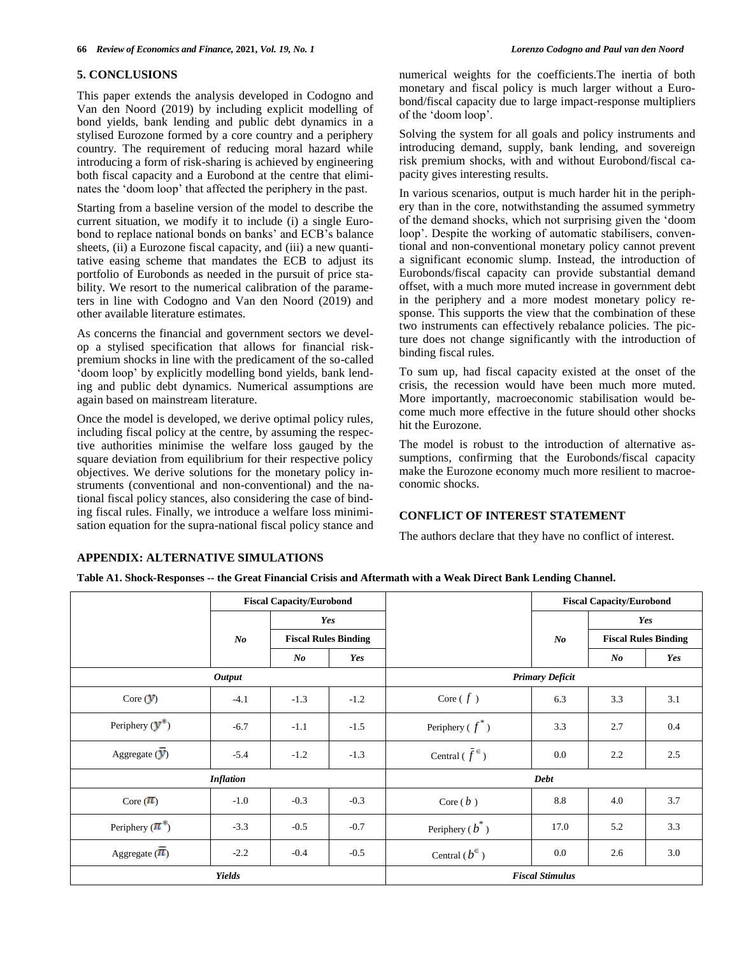### **5. CONCLUSIONS**

This paper extends the analysis developed in Codogno and Van den Noord (2019) by including explicit modelling of bond yields, bank lending and public debt dynamics in a stylised Eurozone formed by a core country and a periphery country. The requirement of reducing moral hazard while introducing a form of risk-sharing is achieved by engineering both fiscal capacity and a Eurobond at the centre that eliminates the 'doom loop' that affected the periphery in the past.

Starting from a baseline version of the model to describe the current situation, we modify it to include (i) a single Eurobond to replace national bonds on banks' and ECB's balance sheets, (ii) a Eurozone fiscal capacity, and (iii) a new quantitative easing scheme that mandates the ECB to adjust its portfolio of Eurobonds as needed in the pursuit of price stability. We resort to the numerical calibration of the parameters in line with Codogno and Van den Noord (2019) and other available literature estimates.

As concerns the financial and government sectors we develop a stylised specification that allows for financial riskpremium shocks in line with the predicament of the so-called 'doom loop' by explicitly modelling bond yields, bank lending and public debt dynamics. Numerical assumptions are again based on mainstream literature.

Once the model is developed, we derive optimal policy rules, including fiscal policy at the centre, by assuming the respective authorities minimise the welfare loss gauged by the square deviation from equilibrium for their respective policy objectives. We derive solutions for the monetary policy instruments (conventional and non-conventional) and the national fiscal policy stances, also considering the case of binding fiscal rules. Finally, we introduce a welfare loss minimisation equation for the supra-national fiscal policy stance and numerical weights for the coefficients.The inertia of both monetary and fiscal policy is much larger without a Eurobond/fiscal capacity due to large impact-response multipliers of the 'doom loop'.

Solving the system for all goals and policy instruments and introducing demand, supply, bank lending, and sovereign risk premium shocks, with and without Eurobond/fiscal capacity gives interesting results.

In various scenarios, output is much harder hit in the periphery than in the core, notwithstanding the assumed symmetry of the demand shocks, which not surprising given the 'doom loop'. Despite the working of automatic stabilisers, conventional and non-conventional monetary policy cannot prevent a significant economic slump. Instead, the introduction of Eurobonds/fiscal capacity can provide substantial demand offset, with a much more muted increase in government debt in the periphery and a more modest monetary policy response. This supports the view that the combination of these two instruments can effectively rebalance policies. The picture does not change significantly with the introduction of binding fiscal rules.

To sum up, had fiscal capacity existed at the onset of the crisis, the recession would have been much more muted. More importantly, macroeconomic stabilisation would become much more effective in the future should other shocks hit the Eurozone.

The model is robust to the introduction of alternative assumptions, confirming that the Eurobonds/fiscal capacity make the Eurozone economy much more resilient to macroeconomic shocks.

# **CONFLICT OF INTEREST STATEMENT**

The authors declare that they have no conflict of interest.

### **APPENDIX: ALTERNATIVE SIMULATIONS**

**Table A1. Shock-Responses -- the Great Financial Crisis and Aftermath with a Weak Direct Bank Lending Channel.**

|                                         |                  | <b>Fiscal Capacity/Eurobond</b> |                             |                           |       | <b>Fiscal Capacity/Eurobond</b> |     |  |
|-----------------------------------------|------------------|---------------------------------|-----------------------------|---------------------------|-------|---------------------------------|-----|--|
|                                         |                  |                                 | Yes                         |                           |       |                                 | Yes |  |
|                                         | $\bm{N}$         |                                 | <b>Fiscal Rules Binding</b> |                           | $N$ o | <b>Fiscal Rules Binding</b>     |     |  |
|                                         |                  | $\bm{N}$                        | Yes                         |                           |       | $\bm{N}$                        | Yes |  |
|                                         | <b>Output</b>    |                                 |                             | <b>Primary Deficit</b>    |       |                                 |     |  |
| Core $(y)$                              | $-4.1$           | $-1.3$                          | $-1.2$                      | Core $(f)$                | 6.3   | 3.3                             | 3.1 |  |
| Periphery $(\mathbf{y}^*)$              | $-6.7$           | $-1.1$                          | $-1.5$                      | Periphery ( $f^*$ )       | 3.3   | 2.7                             | 0.4 |  |
| Aggregate $(\overline{y})$              | $-5.4$           | $-1.2$                          | $-1.3$                      | Central $(\bar{f}^{\in})$ | 0.0   | 2.2                             | 2.5 |  |
|                                         | <b>Inflation</b> |                                 |                             | Debt                      |       |                                 |     |  |
| Core $(\pi)$                            | $-1.0$           | $-0.3$                          | $-0.3$                      | Core $(b)$                | 8.8   | 4.0                             | 3.7 |  |
| Periphery $(\pi^*)$<br>$-3.3$<br>$-0.5$ |                  | $-0.7$                          | Periphery ( $b^*$ )         | 17.0                      | 5.2   | 3.3                             |     |  |
| Aggregate $(\overline{\pi})$            | $-2.2$           | $-0.4$                          | $-0.5$                      | Central $(b^{\in})$       | 0.0   | 2.6                             | 3.0 |  |
|                                         | <b>Yields</b>    |                                 |                             | <b>Fiscal Stimulus</b>    |       |                                 |     |  |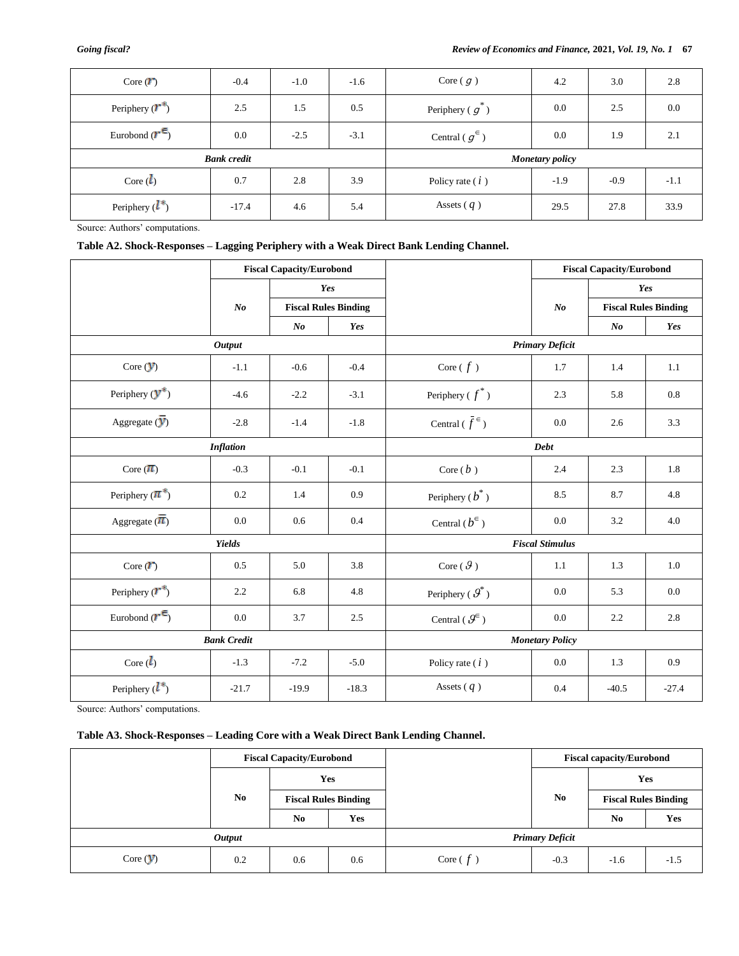| Core $(\mathbf{r})$        | $-0.4$             | $-1.0$ | $-1.6$ | Core $\left(\right,q\right)$ | 4.2                    | 3.0    | 2.8    |
|----------------------------|--------------------|--------|--------|------------------------------|------------------------|--------|--------|
| Periphery $(\mathbf{r}^*)$ | 2.5                | 1.5    | 0.5    | Periphery $(g)$              | 0.0                    | 2.5    | 0.0    |
| Eurobond $(r^{\epsilon})$  | 0.0                | $-2.5$ | $-3.1$ | Central ( $g^{\in}$ )        | 0.0                    | 1.9    | 2.1    |
|                            | <b>Bank</b> credit |        |        |                              | <b>Monetary policy</b> |        |        |
| Core $(l)$                 | 0.7                | 2.8    | 3.9    | Policy rate $(i)$            | $-1.9$                 | $-0.9$ | $-1.1$ |
| Periphery $(l^*)$          | $-17.4$            | 4.6    | 5.4    | Assets $(q)$                 | 29.5                   | 27.8   | 33.9   |

Source: Authors' computations.

# **Table A2. Shock-Responses – Lagging Periphery with a Weak Direct Bank Lending Channel.**

|                                    | <b>Fiscal Capacity/Eurobond</b> |         |                             |                                            |                        | <b>Fiscal Capacity/Eurobond</b> |           |
|------------------------------------|---------------------------------|---------|-----------------------------|--------------------------------------------|------------------------|---------------------------------|-----------|
|                                    |                                 | Yes     |                             |                                            |                        |                                 | Yes       |
|                                    | N <sub>o</sub>                  |         | <b>Fiscal Rules Binding</b> |                                            | N <sub>o</sub>         | <b>Fiscal Rules Binding</b>     |           |
|                                    |                                 | $N_{0}$ | Yes                         |                                            |                        | $N$ o                           | Yes       |
|                                    | <b>Output</b>                   |         |                             |                                            | <b>Primary Deficit</b> |                                 |           |
| Core $(y)$                         | $-1.1$                          | $-0.6$  | $-0.4$                      | Core ( $f$ )                               | 1.7                    | 1.4                             | 1.1       |
| Periphery $(\mathbf{y}^*)$         | $-4.6$                          | $-2.2$  | $-3.1$                      | Periphery ( $f^*$ )                        | 2.3                    | 5.8                             | $\rm 0.8$ |
| Aggregate $\overline{V}$ )         | $-2.8$                          | $-1.4$  | $-1.8$                      | Central ( $\bar{f}^{\in}$ )                | 0.0                    | 2.6                             | 3.3       |
|                                    | <b>Inflation</b>                |         |                             |                                            | Debt                   |                                 |           |
| Core $(\pi)$                       | $-0.3$                          | $-0.1$  | $-0.1$                      | Core $(b)$                                 | 2.4                    | 2.3                             | 1.8       |
| Periphery $(\pi^*)$                | 0.2                             | 1.4     | 0.9                         | Periphery ( $b^*$ )                        | 8.5                    | 8.7                             | 4.8       |
| Aggregate $(\overline{\pi})$       | 0.0                             | 0.6     | 0.4                         | Central ( $b^{\in}$ )                      | 0.0                    | 3.2                             | 4.0       |
|                                    | <b>Yields</b>                   |         |                             |                                            | <b>Fiscal Stimulus</b> |                                 |           |
| Core $(\mathbf{r})$                | 0.5                             | 5.0     | 3.8                         | Core ( $\vartheta$ )                       | 1.1                    | 1.3                             | 1.0       |
| Periphery $(\mathbf{r}^*)$         | 2.2                             | 6.8     | 4.8                         | Periphery ( $\boldsymbol{\mathcal{G}}^*$ ) | 0.0                    | 5.3                             | 0.0       |
| Eurobond $(\mathbf{r}^{\epsilon})$ | 0.0                             | 3.7     | 2.5                         | Central ( $\mathcal{G}^{\in}$ )            | 0.0                    | 2.2                             | 2.8       |
|                                    | <b>Bank Credit</b>              |         |                             | <b>Monetary Policy</b>                     |                        |                                 |           |
| Core $(l)$                         | $-1.3$                          | $-7.2$  | $-5.0$                      | Policy rate $(i)$                          | 0.0                    | 1.3                             | 0.9       |
| Periphery $(l^*)$                  | $-21.7$                         | $-19.9$ | $-18.3$                     | Assets $(q)$                               | 0.4                    | $-40.5$                         | $-27.4$   |

Source: Authors' computations.

# **Table A3. Shock-Responses – Leading Core with a Weak Direct Bank Lending Channel.**

|            |                      | <b>Fiscal Capacity/Eurobond</b> |                             |            |                        | <b>Fiscal capacity/Eurobond</b> |        |
|------------|----------------------|---------------------------------|-----------------------------|------------|------------------------|---------------------------------|--------|
|            |                      |                                 | <b>Yes</b>                  |            |                        |                                 | Yes    |
|            | No                   |                                 | <b>Fiscal Rules Binding</b> |            | No.                    | <b>Fiscal Rules Binding</b>     |        |
|            |                      | N <sub>0</sub>                  | Yes                         |            |                        | No                              | Yes    |
|            | <i><b>Output</b></i> |                                 |                             |            | <b>Primary Deficit</b> |                                 |        |
| Core $(y)$ | 0.2                  | 0.6                             | 0.6                         | Core $(f)$ | $-0.3$                 | $-1.6$                          | $-1.5$ |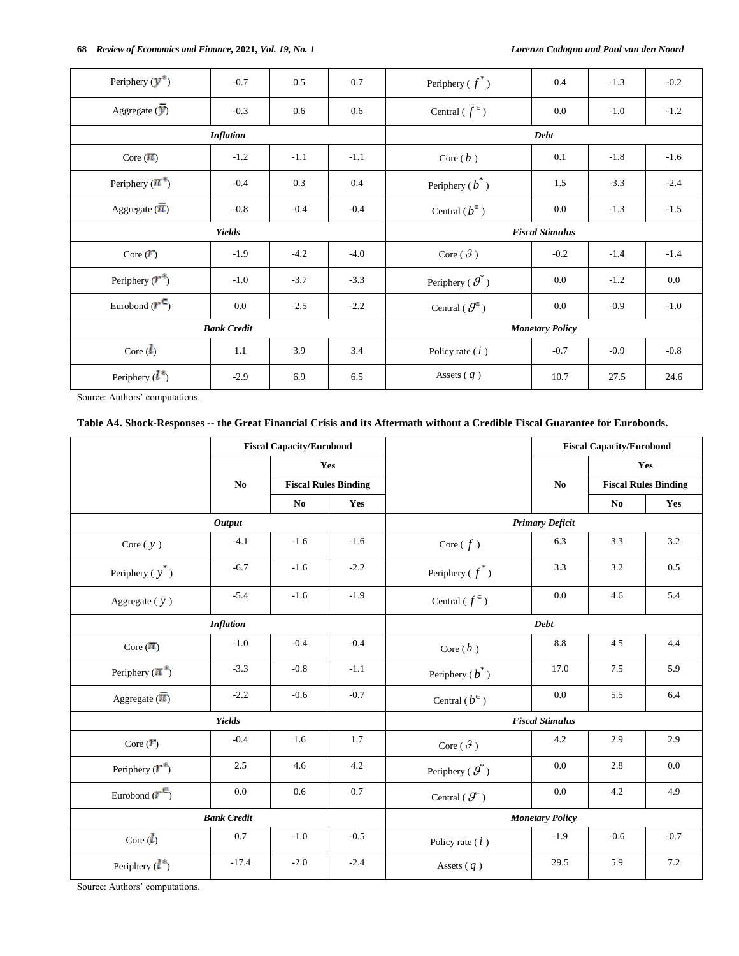| Periphery $(\mathbf{y}^*)$           | $-0.7$           | 0.5    | 0.7     | Periphery ( $f^*$ )                        | $0.4\,$     | $-1.3$ | $-0.2$  |  |
|--------------------------------------|------------------|--------|---------|--------------------------------------------|-------------|--------|---------|--|
| Aggregate $\overline{V}$             | $-0.3$           | 0.6    | 0.6     | Central $(\bar{f}^{\in})$                  | 0.0         | $-1.0$ | $-1.2$  |  |
|                                      | <b>Inflation</b> |        |         |                                            | <b>Debt</b> |        |         |  |
| Core $(\overline{\boldsymbol{\pi}})$ | $-1.2$           | $-1.1$ | $-1.1$  | Core $(b)$                                 | 0.1         | $-1.8$ | $-1.6$  |  |
| Periphery $(\pi^*)$                  | $-0.4$           | 0.3    | $0.4\,$ | Periphery $(b^*)$                          | 1.5         | $-3.3$ | $-2.4$  |  |
| Aggregate $(\overline{\pi})$         | $-0.8$           | $-0.4$ | $-0.4$  | Central $(b^{\in})$                        | $0.0\,$     | $-1.3$ | $-1.5$  |  |
|                                      | <b>Yields</b>    |        |         | <b>Fiscal Stimulus</b>                     |             |        |         |  |
| Core $(\mathbf{r})$                  | $-1.9$           | $-4.2$ | $-4.0$  | Core $(\vartheta)$                         | $-0.2$      | $-1.4$ | $-1.4$  |  |
| Periphery $(\mathbf{r}^*)$           | $-1.0$           | $-3.7$ | $-3.3$  | Periphery ( $\boldsymbol{\mathcal{G}}^*$ ) | $0.0\,$     | $-1.2$ | $0.0\,$ |  |
| Eurobond $(\mathbf{r}^{\epsilon})$   | $0.0\,$          | $-2.5$ | $-2.2$  | Central ( $\mathcal{G}^{\in}$ )            | $0.0\,$     | $-0.9$ | $-1.0$  |  |
| <b>Bank Credit</b>                   |                  |        |         | <b>Monetary Policy</b>                     |             |        |         |  |
| Core $(l)$                           | 1.1              | 3.9    | 3.4     | Policy rate $(i)$                          | $-0.7$      | $-0.9$ | $-0.8$  |  |
| Periphery $(l^*)$                    | $-2.9$           | 6.9    | 6.5     | Assets $(q)$                               | 10.7        | 27.5   | 24.6    |  |

Source: Authors' computations.

# **Table A4. Shock-Responses -- the Great Financial Crisis and its Aftermath without a Credible Fiscal Guarantee for Eurobonds.**

|                                    |                    | <b>Fiscal Capacity/Eurobond</b> |                             |                                            |                        | <b>Fiscal Capacity/Eurobond</b> |                             |  |
|------------------------------------|--------------------|---------------------------------|-----------------------------|--------------------------------------------|------------------------|---------------------------------|-----------------------------|--|
|                                    |                    |                                 | Yes                         |                                            |                        |                                 | Yes                         |  |
|                                    | No                 |                                 | <b>Fiscal Rules Binding</b> |                                            | No                     |                                 | <b>Fiscal Rules Binding</b> |  |
|                                    |                    | N <sub>0</sub>                  | Yes                         |                                            |                        | N <sub>0</sub>                  | Yes                         |  |
|                                    | <b>Output</b>      |                                 |                             | <b>Primary Deficit</b>                     |                        |                                 |                             |  |
| Core $(y)$                         | $-4.1$             | $-1.6$                          | $-1.6$                      | Core ( $f$ )                               | 6.3                    | 3.3                             | 3.2                         |  |
| Periphery ( $y^*$ )                | $-6.7$             | $-1.6$                          | $-2.2$                      | Periphery ( $f^*$ )                        | 3.3                    | 3.2                             | 0.5                         |  |
| Aggregate ( $\overline{y}$ )       | $-5.4$             | $-1.6$                          | $-1.9$                      | Central ( $f^{\epsilon}$ )                 | 0.0                    | 4.6                             | 5.4                         |  |
|                                    | <b>Inflation</b>   |                                 |                             |                                            | <b>Debt</b>            |                                 |                             |  |
| Core $(\pi)$                       | $-1.0$             | $-0.4$                          | $-0.4$                      | Core $(b)$                                 | 8.8                    | 4.5                             | 4.4                         |  |
| Periphery $(\pi^*)$                | $-3.3$             | $-0.8$                          | $-1.1$                      | Periphery ( $b^*$ )                        | 17.0                   | 7.5                             | 5.9                         |  |
| Aggregate $(\overline{\pi})$       | $-2.2$             | $-0.6$                          | $-0.7$                      | Central $(b^{\in})$                        | 0.0                    | 5.5                             | 6.4                         |  |
|                                    | <b>Yields</b>      |                                 |                             |                                            | <b>Fiscal Stimulus</b> |                                 |                             |  |
| Core $(T)$                         | $-0.4$             | 1.6                             | 1.7                         | Core ( $\mathcal G$ )                      | 4.2                    | 2.9                             | 2.9                         |  |
| Periphery $(\mathbf{r}^*)$         | 2.5                | 4.6                             | 4.2                         | Periphery ( $\boldsymbol{\mathcal{G}}^*$ ) | 0.0                    | 2.8                             | 0.0                         |  |
| Eurobond $(\mathbf{r}^{\epsilon})$ | 0.0                | 0.6                             | 0.7                         | Central ( $\mathcal{G}^{\in}$ )            | 0.0                    | 4.2                             | 4.9                         |  |
|                                    | <b>Bank Credit</b> |                                 |                             |                                            | <b>Monetary Policy</b> |                                 |                             |  |
| Core $(l)$                         | 0.7                | $-1.0$                          | $-0.5$                      | Policy rate $(i)$                          | $-1.9$                 | $-0.6$                          | $-0.7$                      |  |
| Periphery $(l^*)$                  | $-17.4$            | $-2.0$                          | $-2.4$                      | Assets $(q)$                               | 29.5                   | 5.9                             | 7.2                         |  |

Source: Authors' computations.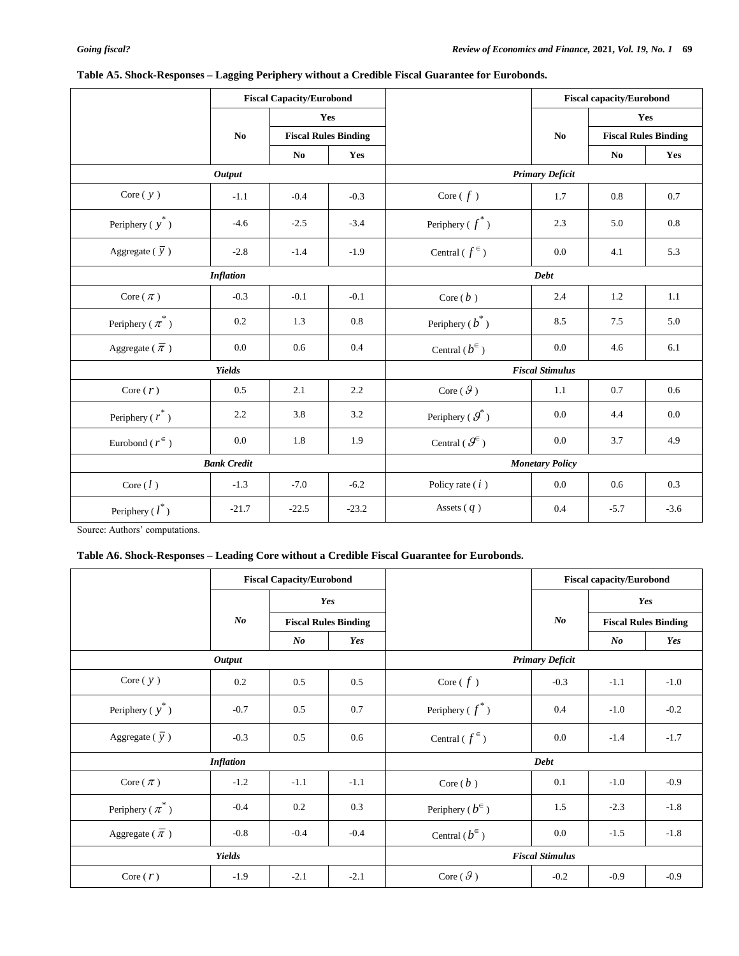|                                |                    | <b>Fiscal Capacity/Eurobond</b> |                             |                                            |                        | <b>Fiscal capacity/Eurobond</b> |         |  |
|--------------------------------|--------------------|---------------------------------|-----------------------------|--------------------------------------------|------------------------|---------------------------------|---------|--|
|                                |                    | Yes                             |                             |                                            |                        |                                 | Yes     |  |
|                                | N <sub>0</sub>     |                                 | <b>Fiscal Rules Binding</b> |                                            | N <sub>0</sub>         | <b>Fiscal Rules Binding</b>     |         |  |
|                                |                    | N <sub>0</sub>                  | Yes                         |                                            |                        | N <sub>0</sub>                  | Yes     |  |
|                                | <b>Output</b>      |                                 |                             | <b>Primary Deficit</b>                     |                        |                                 |         |  |
| Core $(y)$                     | $-1.1$             | $-0.4$                          | $-0.3$                      | Core $(f)$                                 | 1.7                    | 0.8                             | 0.7     |  |
| Periphery $(y^*)$              | $-4.6$             | $-2.5$                          | $-3.4$                      | Periphery ( $f^*$ )                        | 2.3                    | 5.0                             | 0.8     |  |
| Aggregate ( $\overline{y}$ )   | $-2.8$             | $-1.4$                          | $-1.9$                      | Central ( $f^{\in}$ )                      | 0.0                    | 4.1                             | 5.3     |  |
|                                | <b>Inflation</b>   |                                 |                             |                                            | <b>Debt</b>            |                                 |         |  |
| Core $(\pi)$                   | $-0.3$             | $-0.1$                          | $-0.1$                      | Core $(b)$                                 | 2.4                    | 1.2                             | 1.1     |  |
| Periphery ( $\pi^*$ )          | 0.2                | 1.3                             | 0.8                         | Periphery $(b^*)$                          | 8.5                    | 7.5                             | 5.0     |  |
| Aggregate ( $\overline{\pi}$ ) | 0.0                | 0.6                             | 0.4                         | Central ( $b^{\in}$ )                      | 0.0                    | 4.6                             | 6.1     |  |
|                                | Yields             |                                 |                             |                                            | <b>Fiscal Stimulus</b> |                                 |         |  |
| Core $(r)$                     | 0.5                | 2.1                             | 2.2                         | Core ( $\vartheta$ )                       | 1.1                    | 0.7                             | 0.6     |  |
| Periphery ( $r^*$ )            | 2.2                | 3.8                             | 3.2                         | Periphery ( $\boldsymbol{\mathcal{G}}^*$ ) | 0.0                    | 4.4                             | $0.0\,$ |  |
| Eurobond ( $r^{\epsilon}$ )    | 0.0                | 1.8                             | 1.9                         | Central ( $\mathcal{G}^{\in}$ )            | 0.0                    | 3.7                             | 4.9     |  |
|                                | <b>Bank Credit</b> |                                 |                             | <b>Monetary Policy</b>                     |                        |                                 |         |  |
| Core $(l)$                     | $-1.3$             | $-7.0$                          | $-6.2$                      | Policy rate $(i)$                          | 0.0                    | 0.6                             | 0.3     |  |
| Periphery $(l^*)$              | $-21.7$            | $-22.5$                         | $-23.2$                     | Assets $(q)$                               | 0.4                    | $-5.7$                          | $-3.6$  |  |

# **Table A5. Shock-Responses – Lagging Periphery without a Credible Fiscal Guarantee for Eurobonds.**

Source: Authors' computations.

# **Table A6. Shock-Responses – Leading Core without a Credible Fiscal Guarantee for Eurobonds.**

|                                |                  | <b>Fiscal Capacity/Eurobond</b> |                             |                            |          | <b>Fiscal capacity/Eurobond</b> |                             |  |
|--------------------------------|------------------|---------------------------------|-----------------------------|----------------------------|----------|---------------------------------|-----------------------------|--|
|                                |                  | Yes                             |                             |                            |          | Yes                             |                             |  |
|                                | $\bm{N}$         |                                 | <b>Fiscal Rules Binding</b> |                            | $\bm{N}$ |                                 | <b>Fiscal Rules Binding</b> |  |
|                                |                  | $N_{0}$                         | Yes                         |                            |          | $\bm{N}$                        | Yes                         |  |
|                                | <b>Output</b>    |                                 |                             | <b>Primary Deficit</b>     |          |                                 |                             |  |
| Core $(y)$                     | 0.2              | 0.5                             | 0.5                         | Core $(f)$                 | $-0.3$   | $-1.1$                          | $-1.0$                      |  |
| Periphery ( $y^*$ )            | $-0.7$           | 0.5                             | 0.7                         | Periphery ( $f^*$ )        | 0.4      | $-1.0$                          | $-0.2$                      |  |
| Aggregate ( $\overline{y}$ )   | $-0.3$           | 0.5                             | 0.6                         | Central ( $f^{\epsilon}$ ) | 0.0      | $-1.4$                          | $-1.7$                      |  |
|                                | <b>Inflation</b> |                                 |                             | <b>Debt</b>                |          |                                 |                             |  |
| Core ( $\pi$ )                 | $-1.2$           | $-1.1$                          | $-1.1$                      | Core $(b)$                 | 0.1      | $-1.0$                          | $-0.9$                      |  |
| Periphery ( $\pi^*$ )          | $-0.4$           | 0.2                             | 0.3                         | Periphery ( $b^{\in}$ )    | 1.5      | $-2.3$                          | $-1.8$                      |  |
| Aggregate ( $\overline{\pi}$ ) | $-0.8$           | $-0.4$                          | $-0.4$                      | Central $(b^{\in})$        | 0.0      | $-1.5$                          | $-1.8$                      |  |
| <b>Yields</b>                  |                  |                                 |                             | <b>Fiscal Stimulus</b>     |          |                                 |                             |  |
| Core $(r)$                     | $-1.9$           | $-2.1$                          | $-2.1$                      | Core $(\mathcal{G})$       | $-0.2$   | $-0.9$                          | $-0.9$                      |  |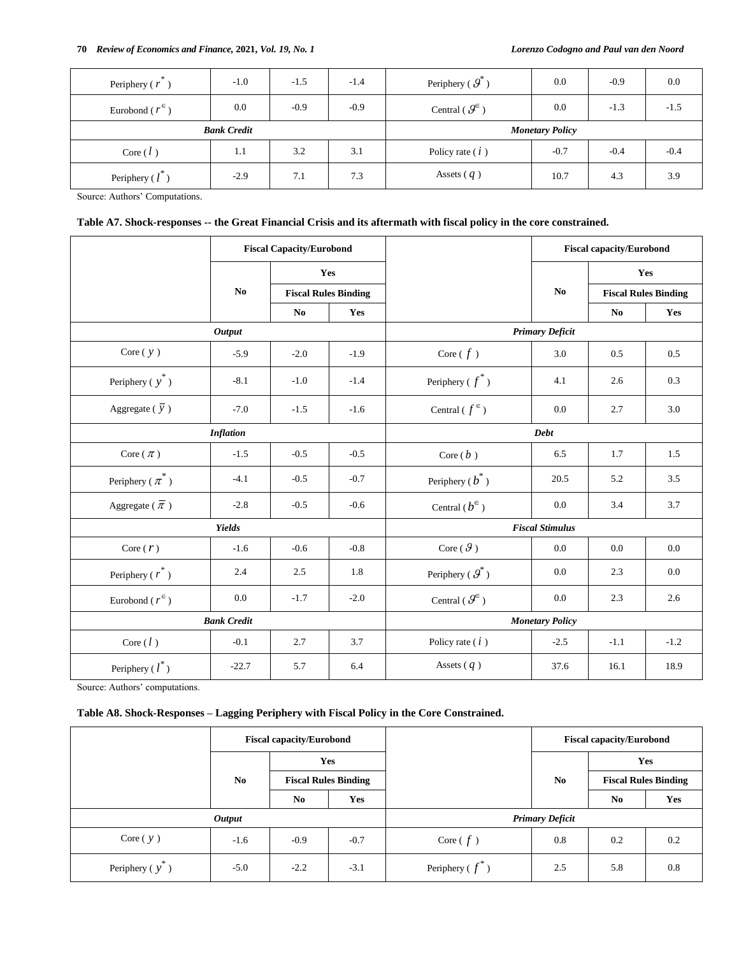| Periphery $(r)$             | $-1.0$ | $-1.5$ | $-1.4$ | Periphery ( $\mathcal{G}^*$ )   | 0.0    | $-0.9$ | 0.0    |
|-----------------------------|--------|--------|--------|---------------------------------|--------|--------|--------|
| Eurobond ( $r^{\epsilon}$ ) | 0.0    | $-0.9$ | $-0.9$ | Central ( $\mathcal{G}^{\in}$ ) | 0.0    | $-1.3$ | $-1.5$ |
| <b>Bank Credit</b>          |        |        |        | <b>Monetary Policy</b>          |        |        |        |
|                             |        |        |        |                                 |        |        |        |
| Core $(l)$                  | 1.1    | 3.2    | 3.1    | Policy rate $(i)$               | $-0.7$ | $-0.4$ | $-0.4$ |

Source: Authors' Computations.

# **Table A7. Shock-responses -- the Great Financial Crisis and its aftermath with fiscal policy in the core constrained.**

|                                | <b>Fiscal Capacity/Eurobond</b> |                                    |                        |                                            | <b>Fiscal capacity/Eurobond</b> |                             |        |  |
|--------------------------------|---------------------------------|------------------------------------|------------------------|--------------------------------------------|---------------------------------|-----------------------------|--------|--|
|                                |                                 | Yes<br><b>Fiscal Rules Binding</b> |                        |                                            |                                 | Yes                         |        |  |
|                                | N <sub>0</sub>                  |                                    |                        |                                            | N <sub>0</sub>                  | <b>Fiscal Rules Binding</b> |        |  |
|                                |                                 | N <sub>0</sub>                     | Yes                    |                                            |                                 | N <sub>0</sub>              | Yes    |  |
| <b>Output</b>                  |                                 |                                    |                        | <b>Primary Deficit</b>                     |                                 |                             |        |  |
| Core $(y)$                     | $-5.9$                          | $-2.0$                             | $-1.9$                 | Core $(f)$                                 | 3.0                             | 0.5                         | 0.5    |  |
| Periphery $(y^*)$              | $-8.1$                          | $-1.0$                             | $-1.4$                 | Periphery ( $f^*$ )                        | 4.1                             | 2.6                         | 0.3    |  |
| Aggregate ( $\overline{y}$ )   | $-7.0$                          | $-1.5$                             | $-1.6$                 | Central ( $f^{\in}$ )                      | 0.0                             | 2.7                         | 3.0    |  |
|                                | <b>Inflation</b>                |                                    |                        | <b>Debt</b>                                |                                 |                             |        |  |
| Core $(\pi)$                   | $-1.5$                          | $-0.5$                             | $-0.5$                 | Core $(b)$                                 | 6.5                             | 1.7                         | 1.5    |  |
| Periphery ( $\pi^*$ )          | $-4.1$                          | $-0.5$                             | $-0.7$                 | Periphery ( $b^*$ )                        | 20.5                            | 5.2                         | 3.5    |  |
| Aggregate ( $\overline{\pi}$ ) | $-2.8$                          | $-0.5$                             | $-0.6$                 | Central ( $b^{\in}$ )                      | 0.0                             | 3.4                         | 3.7    |  |
| <b>Yields</b>                  |                                 |                                    | <b>Fiscal Stimulus</b> |                                            |                                 |                             |        |  |
| Core $(r)$                     | $-1.6$                          | $-0.6$                             | $-0.8$                 | Core $(\mathcal{G})$                       | 0.0                             | 0.0                         | 0.0    |  |
| Periphery $(r^*)$              | 2.4                             | 2.5                                | 1.8                    | Periphery ( $\boldsymbol{\mathcal{G}}^*$ ) | 0.0                             | 2.3                         | 0.0    |  |
| Eurobond ( $r^{\epsilon}$ )    | 0.0                             | $-1.7$                             | $-2.0$                 | Central ( $\mathcal{G}^{\in}$ )            | 0.0                             | 2.3                         | 2.6    |  |
| <b>Bank Credit</b>             |                                 |                                    |                        | <b>Monetary Policy</b>                     |                                 |                             |        |  |
| Core $(l)$                     | $-0.1$                          | 2.7                                | 3.7                    | Policy rate $(i)$                          | $-2.5$                          | $-1.1$                      | $-1.2$ |  |
| Periphery $(l^*)$              | $-22.7$                         | 5.7                                | 6.4                    | Assets $(q)$                               | 37.6                            | 16.1                        | 18.9   |  |

Source: Authors' computations.

## **Table A8. Shock-Responses – Lagging Periphery with Fiscal Policy in the Core Constrained.**

|                 |                | <b>Fiscal capacity/Eurobond</b> |        |                        | <b>Fiscal capacity/Eurobond</b> |                             |     |
|-----------------|----------------|---------------------------------|--------|------------------------|---------------------------------|-----------------------------|-----|
|                 |                |                                 | Yes    |                        | No                              | Yes                         |     |
|                 | N <sub>0</sub> | <b>Fiscal Rules Binding</b>     |        |                        |                                 | <b>Fiscal Rules Binding</b> |     |
|                 |                | No                              | Yes    |                        |                                 | No                          | Yes |
| <b>Output</b>   |                |                                 |        | <b>Primary Deficit</b> |                                 |                             |     |
| Core $(y)$      | $-1.6$         | $-0.9$                          | $-0.7$ | Core $(f)$             | 0.8                             | 0.2                         | 0.2 |
| Periphery $(y)$ | $-5.0$         | $-2.2$                          | $-3.1$ | Periphery ( $f^*$ )    | 2.5                             | 5.8                         | 0.8 |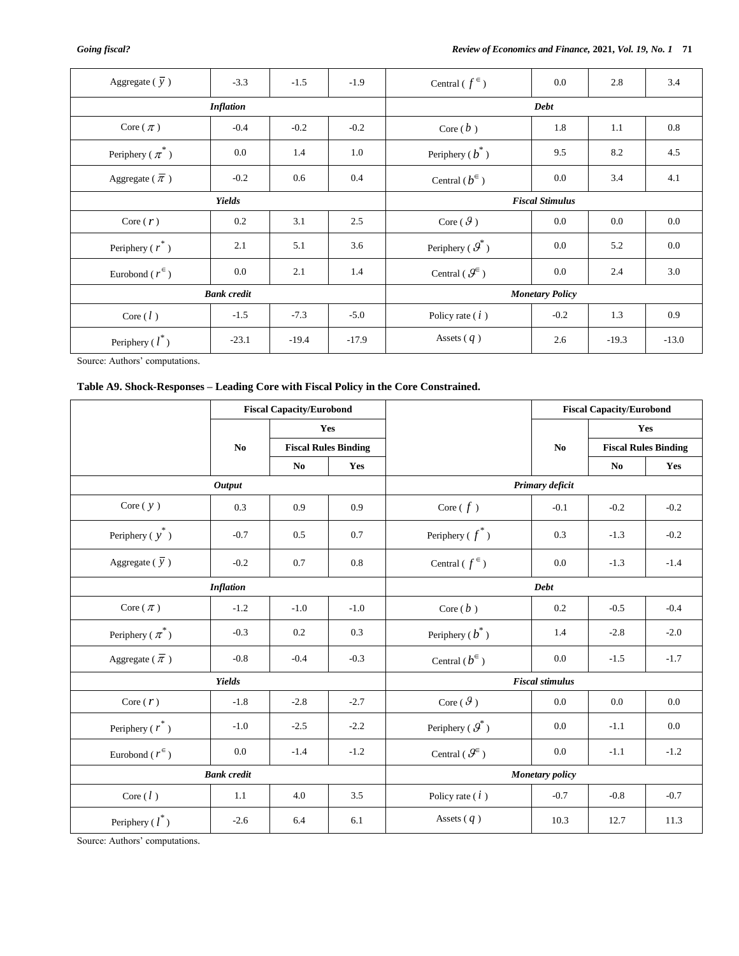| Aggregate ( $\overline{y}$ )   | $-3.3$  | $-1.5$  | $-1.9$  | Central ( $f^{\in}$ )                      | $0.0\,$ | 2.8     | 3.4     |  |
|--------------------------------|---------|---------|---------|--------------------------------------------|---------|---------|---------|--|
| <b>Inflation</b>               |         |         |         | <b>Debt</b>                                |         |         |         |  |
| Core $(\pi)$                   | $-0.4$  | $-0.2$  | $-0.2$  | Core $(b)$                                 | 1.8     | 1.1     | 0.8     |  |
| Periphery ( $\pi^*$ )          | 0.0     | 1.4     | 1.0     | Periphery ( $b^*$ )                        | 9.5     | 8.2     | 4.5     |  |
| Aggregate ( $\overline{\pi}$ ) | $-0.2$  | 0.6     | 0.4     | Central $(b^{\in})$                        | $0.0\,$ | 3.4     | 4.1     |  |
| <b>Yields</b>                  |         |         |         | <b>Fiscal Stimulus</b>                     |         |         |         |  |
| Core $(r)$                     | 0.2     | 3.1     | 2.5     | Core $(\mathcal{G})$                       | $0.0\,$ | 0.0     | $0.0\,$ |  |
| Periphery ( $r^*$ )            | 2.1     | 5.1     | 3.6     | Periphery ( $\boldsymbol{\mathcal{G}}^*$ ) | $0.0\,$ | 5.2     | 0.0     |  |
| Eurobond ( $r^{\epsilon}$ )    | 0.0     | 2.1     | 1.4     | Central ( $\mathcal{G}^{\in}$ )            | $0.0\,$ | 2.4     | 3.0     |  |
| <b>Bank</b> credit             |         |         |         | <b>Monetary Policy</b>                     |         |         |         |  |
| Core $(l)$                     | $-1.5$  | $-7.3$  | $-5.0$  | Policy rate $(i)$                          | $-0.2$  | 1.3     | 0.9     |  |
| Periphery $(l^*)$              | $-23.1$ | $-19.4$ | $-17.9$ | Assets $(q)$                               | 2.6     | $-19.3$ | $-13.0$ |  |

Source: Authors' computations.

# **Table A9. Shock-Responses – Leading Core with Fiscal Policy in the Core Constrained.**

|                                   | <b>Fiscal Capacity/Eurobond</b> |                             |        |                                            | <b>Fiscal Capacity/Eurobond</b> |                             |         |  |  |
|-----------------------------------|---------------------------------|-----------------------------|--------|--------------------------------------------|---------------------------------|-----------------------------|---------|--|--|
|                                   |                                 |                             | Yes    |                                            |                                 | Yes                         |         |  |  |
|                                   | N <sub>0</sub>                  | <b>Fiscal Rules Binding</b> |        |                                            | N <sub>0</sub>                  | <b>Fiscal Rules Binding</b> |         |  |  |
|                                   |                                 | N <sub>0</sub>              | Yes    |                                            |                                 | N <sub>0</sub>              | Yes     |  |  |
|                                   | <b>Output</b>                   |                             |        | Primary deficit                            |                                 |                             |         |  |  |
| Core $(y)$                        | 0.3                             | 0.9                         | 0.9    | Core $(f)$                                 | $-0.1$                          | $-0.2$                      | $-0.2$  |  |  |
| Periphery ( $\stackrel{*}{y}^*$ ) | $-0.7$                          | 0.5                         | 0.7    | Periphery ( $f^*$ )                        | 0.3                             | $-1.3$                      | $-0.2$  |  |  |
| Aggregate ( $\overline{y}$ )      | $-0.2$                          | 0.7                         | 0.8    | Central ( $f^{\epsilon}$ )                 | 0.0                             | $-1.3$                      | $-1.4$  |  |  |
|                                   | <b>Inflation</b>                |                             |        |                                            | <b>Debt</b>                     |                             |         |  |  |
| Core $(\pi)$                      | $-1.2$                          | $-1.0$                      | $-1.0$ | Core $(b)$                                 | 0.2                             | $-0.5$                      | $-0.4$  |  |  |
| Periphery ( $\pi^*$ )             | $-0.3$                          | 0.2                         | 0.3    | Periphery ( $b^*$ )                        | 1.4                             | $-2.8$                      | $-2.0$  |  |  |
| Aggregate ( $\overline{\pi}$ )    | $-0.8$                          | $-0.4$                      | $-0.3$ | Central ( $b^{\in}$ )                      | 0.0                             | $-1.5$                      | $-1.7$  |  |  |
|                                   | <b>Yields</b>                   |                             |        | <b>Fiscal stimulus</b>                     |                                 |                             |         |  |  |
| Core $(r)$                        | $-1.8$                          | $-2.8$                      | $-2.7$ | Core ( $\vartheta$ )                       | 0.0                             | 0.0                         | $0.0\,$ |  |  |
| Periphery ( $\boldsymbol{r}^*$ )  | $-1.0$                          | $-2.5$                      | $-2.2$ | Periphery ( $\boldsymbol{\mathcal{G}}^*$ ) | 0.0                             | $-1.1$                      | $0.0\,$ |  |  |
| Eurobond ( $r^{\epsilon}$ )       | 0.0                             | $-1.4$                      | $-1.2$ | Central ( $\mathcal{G}^{\in}$ )            | 0.0                             | $-1.1$                      | $-1.2$  |  |  |
| <b>Bank</b> credit                |                                 |                             |        | Monetary policy                            |                                 |                             |         |  |  |
| Core $(\,l\,)$                    | 1.1                             | 4.0                         | 3.5    | Policy rate $(i)$                          | $-0.7$                          | $-0.8$                      | $-0.7$  |  |  |
| Periphery $(l^*)$                 | $-2.6$                          | 6.4                         | 6.1    | Assets $(q)$                               | 10.3                            | 12.7                        | 11.3    |  |  |

Source: Authors' computations.